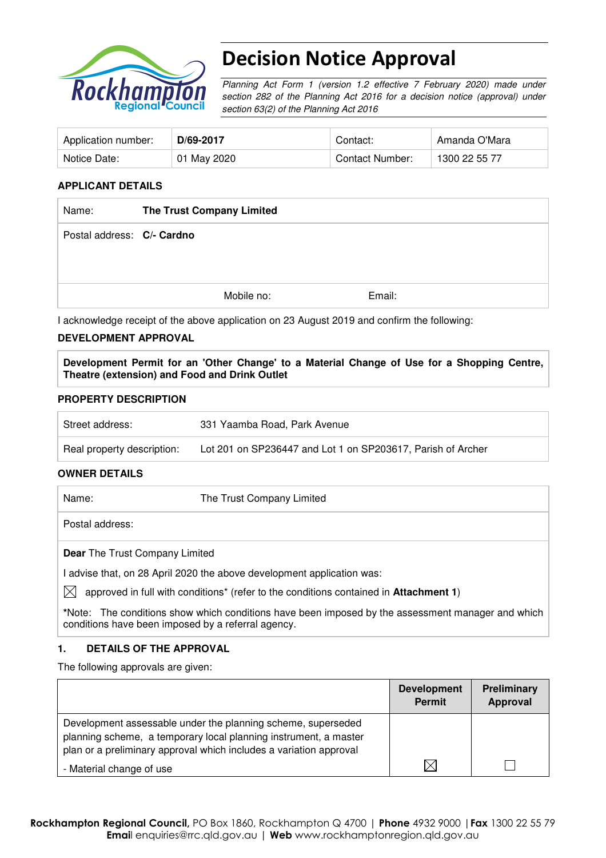

# Decision Notice Approval

Planning Act Form 1 (version 1.2 effective 7 February 2020) made under section 282 of the Planning Act 2016 for a decision notice (approval) under section 63(2) of the Planning Act 2016

| Application number: | D/69-2017   | Contact:        | Amanda O'Mara |
|---------------------|-------------|-----------------|---------------|
| Notice Date:        | 01 May 2020 | Contact Number: | 1300 22 55 77 |

## **APPLICANT DETAILS**

| Name:                      | The Trust Company Limited |            |        |
|----------------------------|---------------------------|------------|--------|
| Postal address: C/- Cardno |                           |            |        |
|                            |                           |            |        |
|                            |                           | Mobile no: | Email: |

I acknowledge receipt of the above application on 23 August 2019 and confirm the following:

### **DEVELOPMENT APPROVAL**

**Development Permit for an 'Other Change' to a Material Change of Use for a Shopping Centre, Theatre (extension) and Food and Drink Outlet** 

### **PROPERTY DESCRIPTION**

| Street address:            | 331 Yaamba Road, Park Avenue                                |
|----------------------------|-------------------------------------------------------------|
| Real property description: | Lot 201 on SP236447 and Lot 1 on SP203617, Parish of Archer |

#### **OWNER DETAILS**

Name: The Trust Company Limited Postal address: **Dear** The Trust Company Limited I advise that, on 28 April 2020 the above development application was:  $\boxtimes$  approved in full with conditions<sup>\*</sup> (refer to the conditions contained in **Attachment 1**) **\***Note:The conditions show which conditions have been imposed by the assessment manager and which

#### **1. DETAILS OF THE APPROVAL**

conditions have been imposed by a referral agency.

The following approvals are given:

|                                                                                                                                                                                                        | <b>Development</b><br>Permit | <b>Preliminary</b><br>Approval |
|--------------------------------------------------------------------------------------------------------------------------------------------------------------------------------------------------------|------------------------------|--------------------------------|
| Development assessable under the planning scheme, superseded<br>planning scheme, a temporary local planning instrument, a master<br>plan or a preliminary approval which includes a variation approval |                              |                                |
| - Material change of use                                                                                                                                                                               | IX                           |                                |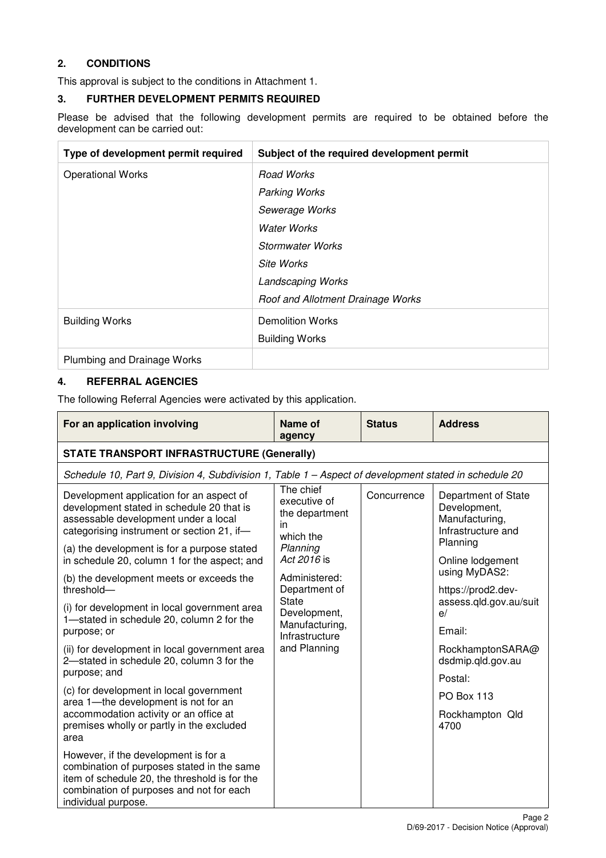# **2. CONDITIONS**

This approval is subject to the conditions in Attachment 1.

## **3. FURTHER DEVELOPMENT PERMITS REQUIRED**

Please be advised that the following development permits are required to be obtained before the development can be carried out:

| Type of development permit required | Subject of the required development permit |
|-------------------------------------|--------------------------------------------|
| <b>Operational Works</b>            | Road Works                                 |
|                                     | <b>Parking Works</b>                       |
|                                     | Sewerage Works                             |
|                                     | <b>Water Works</b>                         |
|                                     | Stormwater Works                           |
|                                     | Site Works                                 |
|                                     | <b>Landscaping Works</b>                   |
|                                     | Roof and Allotment Drainage Works          |
| <b>Building Works</b>               | <b>Demolition Works</b>                    |
|                                     | <b>Building Works</b>                      |
| Plumbing and Drainage Works         |                                            |

# **4. REFERRAL AGENCIES**

The following Referral Agencies were activated by this application.

| For an application involving                                                                                                                                                                           | Name of<br>agency                                                                         | <b>Status</b> | <b>Address</b>                                                              |  |                                       |                                     |
|--------------------------------------------------------------------------------------------------------------------------------------------------------------------------------------------------------|-------------------------------------------------------------------------------------------|---------------|-----------------------------------------------------------------------------|--|---------------------------------------|-------------------------------------|
| <b>STATE TRANSPORT INFRASTRUCTURE (Generally)</b>                                                                                                                                                      |                                                                                           |               |                                                                             |  |                                       |                                     |
| Schedule 10, Part 9, Division 4, Subdivision 1, Table 1 - Aspect of development stated in schedule 20                                                                                                  |                                                                                           |               |                                                                             |  |                                       |                                     |
| Development application for an aspect of<br>development stated in schedule 20 that is<br>assessable development under a local<br>categorising instrument or section 21, if-                            | The chief<br>executive of<br>the department<br>in<br>which the                            | Concurrence   | Department of State<br>Development,<br>Manufacturing,<br>Infrastructure and |  |                                       |                                     |
| (a) the development is for a purpose stated<br>in schedule 20, column 1 for the aspect; and                                                                                                            | Planning<br>Act 2016 is<br>Administered:<br>Department of<br><b>State</b><br>Development, |               |                                                                             |  | Planning<br>Online lodgement          |                                     |
| (b) the development meets or exceeds the<br>threshold-                                                                                                                                                 |                                                                                           |               |                                                                             |  |                                       | using MyDAS2:<br>https://prod2.dev- |
| (i) for development in local government area<br>1-stated in schedule 20, column 2 for the                                                                                                              |                                                                                           |               |                                                                             |  | assess.qld.gov.au/suit<br>e/          |                                     |
| purpose; or                                                                                                                                                                                            | Manufacturing,<br>Infrastructure                                                          |               | Email:                                                                      |  |                                       |                                     |
| (ii) for development in local government area<br>2-stated in schedule 20, column 3 for the                                                                                                             | and Planning                                                                              |               |                                                                             |  | RockhamptonSARA@<br>dsdmip.qld.gov.au |                                     |
| purpose; and                                                                                                                                                                                           |                                                                                           |               | Postal:                                                                     |  |                                       |                                     |
| (c) for development in local government<br>area 1-the development is not for an                                                                                                                        |                                                                                           |               | <b>PO Box 113</b>                                                           |  |                                       |                                     |
| accommodation activity or an office at<br>premises wholly or partly in the excluded<br>area                                                                                                            |                                                                                           |               | Rockhampton Qld<br>4700                                                     |  |                                       |                                     |
| However, if the development is for a<br>combination of purposes stated in the same<br>item of schedule 20, the threshold is for the<br>combination of purposes and not for each<br>individual purpose. |                                                                                           |               |                                                                             |  |                                       |                                     |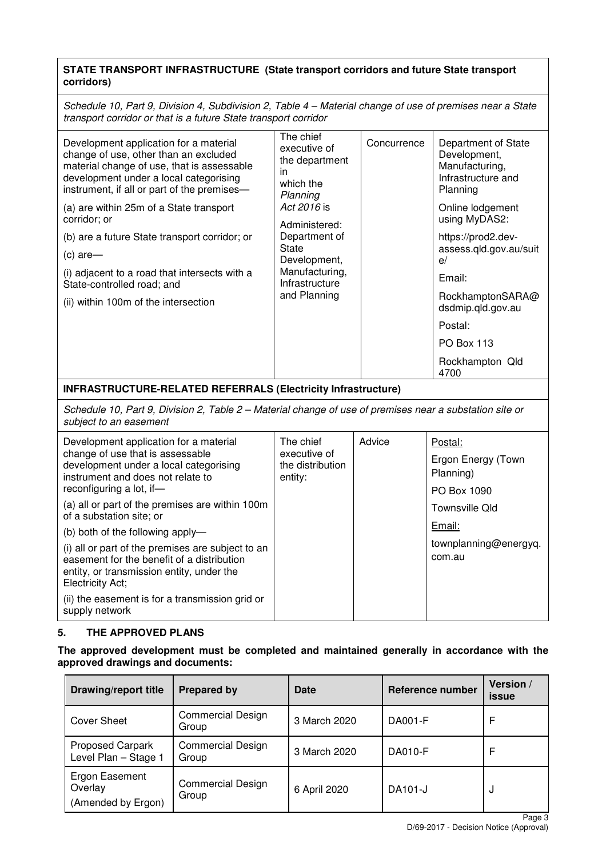## **STATE TRANSPORT INFRASTRUCTURE (State transport corridors and future State transport corridors)**

Schedule 10, Part 9, Division 4, Subdivision 2, Table 4 – Material change of use of premises near a State transport corridor or that is a future State transport corridor

| Development application for a material<br>change of use, other than an excluded<br>material change of use, that is assessable<br>development under a local categorising<br>instrument, if all or part of the premises-<br>(a) are within 25m of a State transport<br>corridor; or<br>(b) are a future State transport corridor; or<br>$(c)$ are-<br>(i) adjacent to a road that intersects with a<br>State-controlled road; and<br>(ii) within 100m of the intersection | The chief<br>executive of<br>the department<br>in<br>which the<br>Planning<br>Act 2016 is<br>Administered:<br>Department of<br>State<br>Development,<br>Manufacturing,<br>Infrastructure<br>and Planning | Concurrence | Department of State<br>Development,<br>Manufacturing,<br>Infrastructure and<br>Planning<br>Online lodgement<br>using MyDAS2:<br>https://prod2.dev-<br>assess.qld.gov.au/suit<br>e/<br>Email:<br>RockhamptonSARA@<br>dsdmip.qld.gov.au<br>Postal:<br><b>PO Box 113</b> |
|-------------------------------------------------------------------------------------------------------------------------------------------------------------------------------------------------------------------------------------------------------------------------------------------------------------------------------------------------------------------------------------------------------------------------------------------------------------------------|----------------------------------------------------------------------------------------------------------------------------------------------------------------------------------------------------------|-------------|-----------------------------------------------------------------------------------------------------------------------------------------------------------------------------------------------------------------------------------------------------------------------|
|                                                                                                                                                                                                                                                                                                                                                                                                                                                                         |                                                                                                                                                                                                          |             | Rockhampton Qld<br>4700                                                                                                                                                                                                                                               |

**INFRASTRUCTURE-RELATED REFERRALS (Electricity Infrastructure)**

Schedule 10, Part 9, Division 2, Table 2 – Material change of use of premises near a substation site or subject to an easement

| Development application for a material<br>change of use that is assessable<br>development under a local categorising<br>instrument and does not relate to        | The chief<br>executive of<br>the distribution<br>entity: | Advice | Postal:<br>Ergon Energy (Town<br>Planning) |
|------------------------------------------------------------------------------------------------------------------------------------------------------------------|----------------------------------------------------------|--------|--------------------------------------------|
| reconfiguring a lot, if-                                                                                                                                         |                                                          |        | PO Box 1090                                |
| (a) all or part of the premises are within 100m<br>of a substation site; or                                                                                      |                                                          |        | Townsville Old                             |
| (b) both of the following apply-                                                                                                                                 |                                                          |        | Email:                                     |
| (i) all or part of the premises are subject to an<br>easement for the benefit of a distribution<br>entity, or transmission entity, under the<br>Electricity Act; |                                                          |        | townplanning@energyq.<br>com.au            |
| (ii) the easement is for a transmission grid or<br>supply network                                                                                                |                                                          |        |                                            |

# **5. THE APPROVED PLANS**

### **The approved development must be completed and maintained generally in accordance with the approved drawings and documents:**

| <b>Drawing/report title</b>                     | <b>Prepared by</b>                | Date         | Reference number | Version /<br><b>issue</b> |
|-------------------------------------------------|-----------------------------------|--------------|------------------|---------------------------|
| <b>Cover Sheet</b>                              | <b>Commercial Design</b><br>Group | 3 March 2020 | DA001-F          | F                         |
| <b>Proposed Carpark</b><br>Level Plan - Stage 1 | <b>Commercial Design</b><br>Group | 3 March 2020 | DA010-F          | F                         |
| Ergon Easement<br>Overlay<br>(Amended by Ergon) | <b>Commercial Design</b><br>Group | 6 April 2020 | DA101-J          | J                         |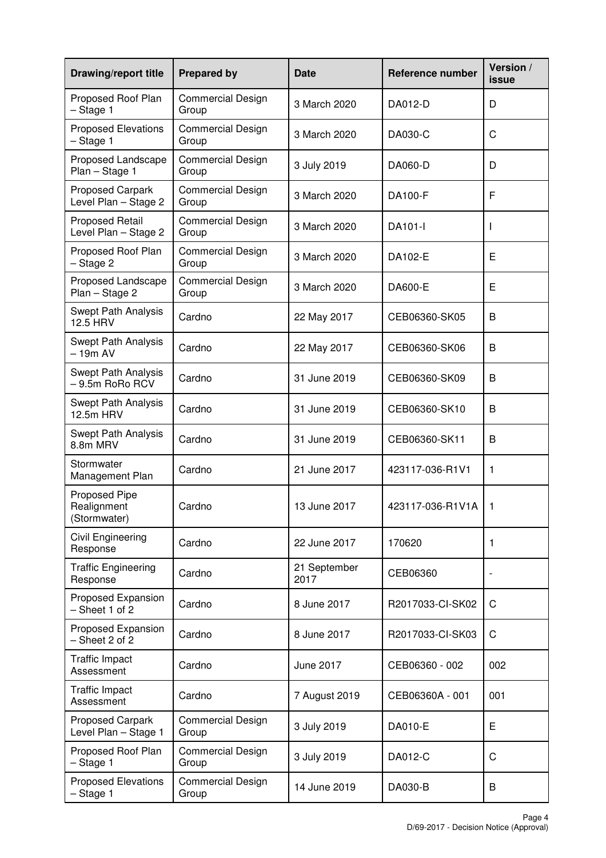| <b>Drawing/report title</b>                    | <b>Prepared by</b>                | <b>Date</b>          | <b>Reference number</b> | Version /<br>issue |
|------------------------------------------------|-----------------------------------|----------------------|-------------------------|--------------------|
| Proposed Roof Plan<br>$-$ Stage 1              | <b>Commercial Design</b><br>Group | 3 March 2020         | DA012-D                 | D                  |
| <b>Proposed Elevations</b><br>- Stage 1        | <b>Commercial Design</b><br>Group | 3 March 2020         | DA030-C                 | C                  |
| Proposed Landscape<br>Plan - Stage 1           | <b>Commercial Design</b><br>Group | 3 July 2019          | DA060-D                 | D                  |
| Proposed Carpark<br>Level Plan - Stage 2       | <b>Commercial Design</b><br>Group | 3 March 2020         | DA100-F                 | F                  |
| <b>Proposed Retail</b><br>Level Plan - Stage 2 | <b>Commercial Design</b><br>Group | 3 March 2020         | DA101-I                 |                    |
| Proposed Roof Plan<br>- Stage 2                | <b>Commercial Design</b><br>Group | 3 March 2020         | DA102-E                 | E                  |
| Proposed Landscape<br>Plan - Stage 2           | <b>Commercial Design</b><br>Group | 3 March 2020         | DA600-E                 | E                  |
| <b>Swept Path Analysis</b><br>12.5 HRV         | Cardno                            | 22 May 2017          | CEB06360-SK05           | B                  |
| <b>Swept Path Analysis</b><br>$-19m AV$        | Cardno                            | 22 May 2017          | CEB06360-SK06           | B                  |
| Swept Path Analysis<br>$-9.5m$ RoRo RCV        | Cardno                            | 31 June 2019         | CEB06360-SK09           | B                  |
| Swept Path Analysis<br>12.5m HRV               | Cardno                            | 31 June 2019         | CEB06360-SK10           | B                  |
| <b>Swept Path Analysis</b><br>8.8m MRV         | Cardno                            | 31 June 2019         | CEB06360-SK11           | B                  |
| Stormwater<br>Management Plan                  | Cardno                            | 21 June 2017         | 423117-036-R1V1         | 1                  |
| Proposed Pipe<br>Realignment<br>(Stormwater)   | Cardno                            | 13 June 2017         | 423117-036-R1V1A        | 1                  |
| Civil Engineering<br>Response                  | Cardno                            | 22 June 2017         | 170620                  | 1                  |
| <b>Traffic Engineering</b><br>Response         | Cardno                            | 21 September<br>2017 | CEB06360                |                    |
| Proposed Expansion<br>$-$ Sheet 1 of 2         | Cardno                            | 8 June 2017          | R2017033-CI-SK02        | C                  |
| Proposed Expansion<br>- Sheet 2 of 2           | Cardno                            | 8 June 2017          | R2017033-CI-SK03        | C                  |
| <b>Traffic Impact</b><br>Assessment            | Cardno                            | June 2017            | CEB06360 - 002          | 002                |
| <b>Traffic Impact</b><br>Assessment            | Cardno                            | 7 August 2019        | CEB06360A - 001         | 001                |
| Proposed Carpark<br>Level Plan - Stage 1       | <b>Commercial Design</b><br>Group | 3 July 2019          | DA010-E                 | E                  |
| Proposed Roof Plan<br>$-$ Stage 1              | <b>Commercial Design</b><br>Group | 3 July 2019          | DA012-C                 | $\mathsf C$        |
| <b>Proposed Elevations</b><br>$-$ Stage 1      | <b>Commercial Design</b><br>Group | 14 June 2019         | DA030-B                 | B                  |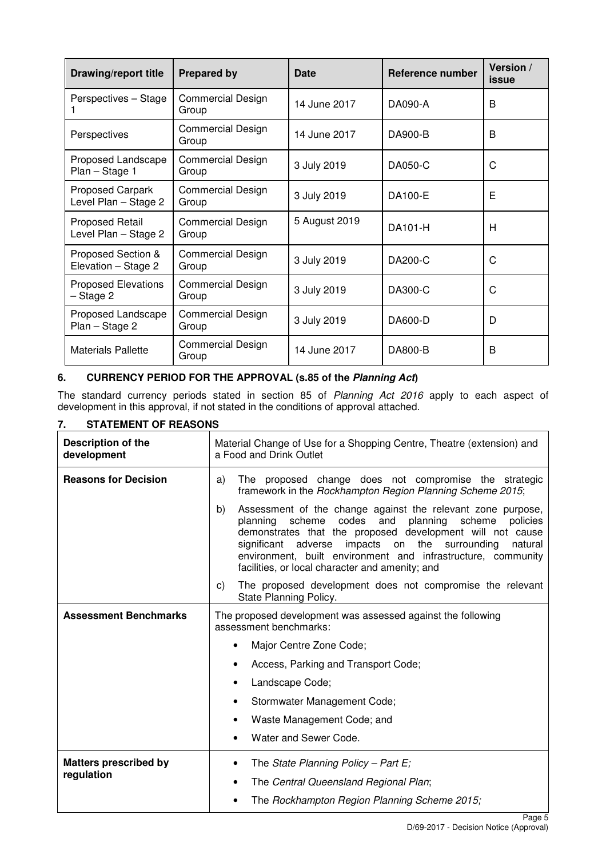| <b>Drawing/report title</b>                    | <b>Prepared by</b>                | Date          | <b>Reference number</b> | Version /<br><i>issue</i> |
|------------------------------------------------|-----------------------------------|---------------|-------------------------|---------------------------|
| Perspectives - Stage                           | <b>Commercial Design</b><br>Group | 14 June 2017  | DA090-A                 | B                         |
| Perspectives                                   | Commercial Design<br>Group        | 14 June 2017  | DA900-B                 | B                         |
| Proposed Landscape<br>Plan - Stage 1           | <b>Commercial Design</b><br>Group | 3 July 2019   | DA050-C                 | C                         |
| Proposed Carpark<br>Level Plan - Stage 2       | <b>Commercial Design</b><br>Group | 3 July 2019   | DA100-E                 | E                         |
| <b>Proposed Retail</b><br>Level Plan - Stage 2 | <b>Commercial Design</b><br>Group | 5 August 2019 | DA101-H                 | н                         |
| Proposed Section &<br>Elevation - Stage 2      | <b>Commercial Design</b><br>Group | 3 July 2019   | DA200-C                 | C                         |
| <b>Proposed Elevations</b><br>- Stage 2        | <b>Commercial Design</b><br>Group | 3 July 2019   | DA300-C                 | С                         |
| Proposed Landscape<br>Plan - Stage 2           | <b>Commercial Design</b><br>Group | 3 July 2019   | DA600-D                 | D                         |
| <b>Materials Pallette</b>                      | <b>Commercial Design</b><br>Group | 14 June 2017  | DA800-B                 | B                         |

# **6. CURRENCY PERIOD FOR THE APPROVAL (s.85 of the Planning Act)**

The standard currency periods stated in section 85 of Planning Act 2016 apply to each aspect of development in this approval, if not stated in the conditions of approval attached.

# **7. STATEMENT OF REASONS**

| Description of the<br>development | Material Change of Use for a Shopping Centre, Theatre (extension) and<br>a Food and Drink Outlet                                                                                                                                                                                                                                                                                             |  |
|-----------------------------------|----------------------------------------------------------------------------------------------------------------------------------------------------------------------------------------------------------------------------------------------------------------------------------------------------------------------------------------------------------------------------------------------|--|
| <b>Reasons for Decision</b>       | The proposed change does not compromise the strategic<br>a)<br>framework in the Rockhampton Region Planning Scheme 2015;                                                                                                                                                                                                                                                                     |  |
|                                   | Assessment of the change against the relevant zone purpose,<br>b)<br>codes and<br>planning<br>planning<br>scheme<br>scheme<br>policies<br>demonstrates that the proposed development will not cause<br>impacts on<br>the surrounding<br>significant<br>adverse<br>natural<br>environment, built environment and infrastructure, community<br>facilities, or local character and amenity; and |  |
|                                   | The proposed development does not compromise the relevant<br>C)<br>State Planning Policy.                                                                                                                                                                                                                                                                                                    |  |
| <b>Assessment Benchmarks</b>      | The proposed development was assessed against the following<br>assessment benchmarks:                                                                                                                                                                                                                                                                                                        |  |
|                                   | Major Centre Zone Code;<br>٠                                                                                                                                                                                                                                                                                                                                                                 |  |
|                                   | Access, Parking and Transport Code;                                                                                                                                                                                                                                                                                                                                                          |  |
|                                   | Landscape Code;<br>$\bullet$                                                                                                                                                                                                                                                                                                                                                                 |  |
|                                   | Stormwater Management Code;                                                                                                                                                                                                                                                                                                                                                                  |  |
|                                   | Waste Management Code; and<br>$\bullet$                                                                                                                                                                                                                                                                                                                                                      |  |
|                                   | Water and Sewer Code.<br>$\bullet$                                                                                                                                                                                                                                                                                                                                                           |  |
| <b>Matters prescribed by</b>      | The State Planning Policy - Part E;<br>٠                                                                                                                                                                                                                                                                                                                                                     |  |
| regulation                        | The Central Queensland Regional Plan;                                                                                                                                                                                                                                                                                                                                                        |  |
|                                   | The Rockhampton Region Planning Scheme 2015;                                                                                                                                                                                                                                                                                                                                                 |  |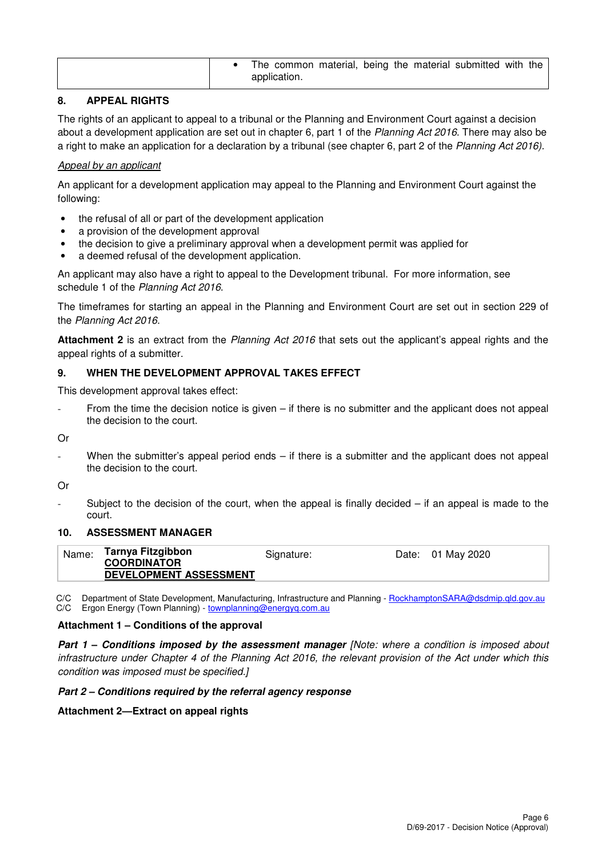|  |  | The common material, being the material submitted with the<br>application. |  |  |  |  |  |  |  |
|--|--|----------------------------------------------------------------------------|--|--|--|--|--|--|--|
|--|--|----------------------------------------------------------------------------|--|--|--|--|--|--|--|

# **8. APPEAL RIGHTS**

The rights of an applicant to appeal to a tribunal or the Planning and Environment Court against a decision about a development application are set out in chapter 6, part 1 of the Planning Act 2016. There may also be a right to make an application for a declaration by a tribunal (see chapter 6, part 2 of the Planning Act 2016).

#### Appeal by an applicant

An applicant for a development application may appeal to the Planning and Environment Court against the following:

- the refusal of all or part of the development application
- a provision of the development approval
- the decision to give a preliminary approval when a development permit was applied for
- a deemed refusal of the development application.

An applicant may also have a right to appeal to the Development tribunal. For more information, see schedule 1 of the Planning Act 2016.

The timeframes for starting an appeal in the Planning and Environment Court are set out in section 229 of the Planning Act 2016.

**Attachment 2** is an extract from the Planning Act 2016 that sets out the applicant's appeal rights and the appeal rights of a submitter.

#### **9. WHEN THE DEVELOPMENT APPROVAL TAKES EFFECT**

This development approval takes effect:

From the time the decision notice is given  $-$  if there is no submitter and the applicant does not appeal the decision to the court.

Or

When the submitter's appeal period ends  $-$  if there is a submitter and the applicant does not appeal the decision to the court.

Or

Subject to the decision of the court, when the appeal is finally decided  $-$  if an appeal is made to the court.

#### **10. ASSESSMENT MANAGER**

| Name: | Tarnya Fitzgibbon      | Signature: | Date: 01 May 2020 |
|-------|------------------------|------------|-------------------|
|       | <b>COORDINATOR</b>     |            |                   |
|       | DEVELOPMENT ASSESSMENT |            |                   |

C/C Department of State Development, Manufacturing, Infrastructure and Planning - RockhamptonSARA@dsdmip.qld.gov.au C/C Ergon Energy (Town Planning) - townplanning@energyq.com.au

#### **Attachment 1 – Conditions of the approval**

**Part 1 – Conditions imposed by the assessment manager [Note: where a condition is imposed about** infrastructure under Chapter 4 of the Planning Act 2016, the relevant provision of the Act under which this condition was imposed must be specified.]

#### **Part 2 – Conditions required by the referral agency response**

#### **Attachment 2—Extract on appeal rights**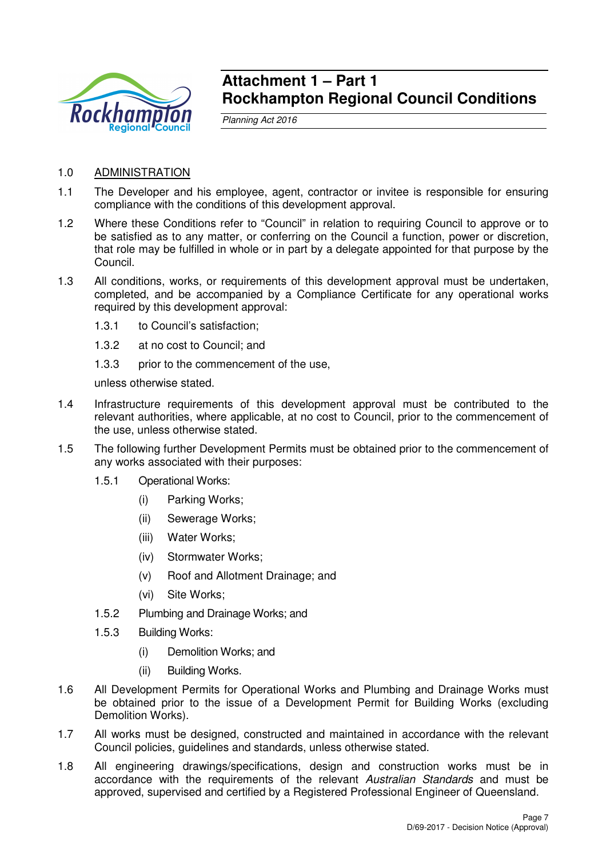

# **Attachment 1 – Part 1 Rockhampton Regional Council Conditions**

Planning Act 2016

- 1.0 ADMINISTRATION
- 1.1 The Developer and his employee, agent, contractor or invitee is responsible for ensuring compliance with the conditions of this development approval.
- 1.2 Where these Conditions refer to "Council" in relation to requiring Council to approve or to be satisfied as to any matter, or conferring on the Council a function, power or discretion, that role may be fulfilled in whole or in part by a delegate appointed for that purpose by the Council.
- 1.3 All conditions, works, or requirements of this development approval must be undertaken, completed, and be accompanied by a Compliance Certificate for any operational works required by this development approval:
	- 1.3.1 to Council's satisfaction;
	- 1.3.2 at no cost to Council; and
	- 1.3.3 prior to the commencement of the use,

unless otherwise stated.

- 1.4 Infrastructure requirements of this development approval must be contributed to the relevant authorities, where applicable, at no cost to Council, prior to the commencement of the use, unless otherwise stated.
- 1.5 The following further Development Permits must be obtained prior to the commencement of any works associated with their purposes:
	- 1.5.1 Operational Works:
		- (i) Parking Works;
		- (ii) Sewerage Works;
		- (iii) Water Works;
		- (iv) Stormwater Works;
		- (v) Roof and Allotment Drainage; and
		- (vi) Site Works;
	- 1.5.2 Plumbing and Drainage Works; and
	- 1.5.3 Building Works:
		- (i) Demolition Works; and
		- (ii) Building Works.
- 1.6 All Development Permits for Operational Works and Plumbing and Drainage Works must be obtained prior to the issue of a Development Permit for Building Works (excluding Demolition Works).
- 1.7 All works must be designed, constructed and maintained in accordance with the relevant Council policies, guidelines and standards, unless otherwise stated.
- 1.8 All engineering drawings/specifications, design and construction works must be in accordance with the requirements of the relevant Australian Standards and must be approved, supervised and certified by a Registered Professional Engineer of Queensland.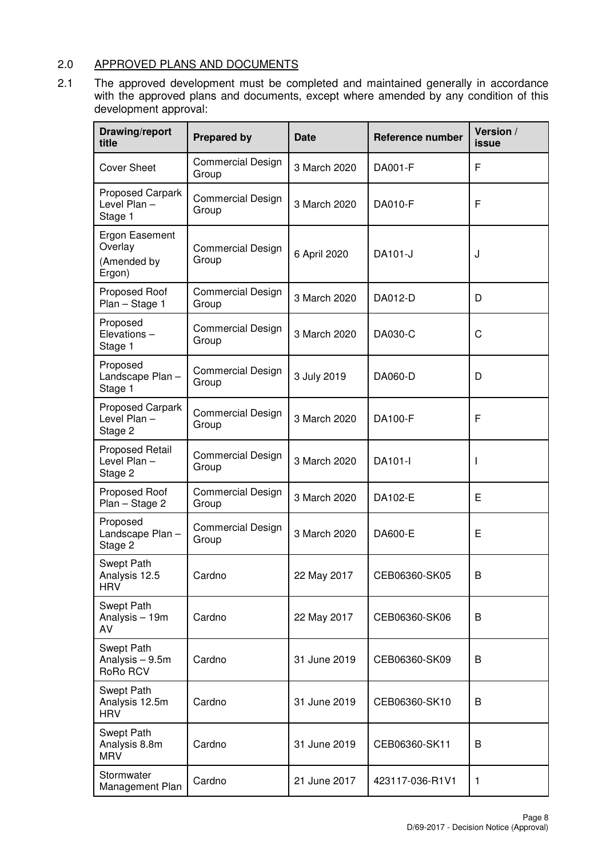# 2.0 APPROVED PLANS AND DOCUMENTS

2.1 The approved development must be completed and maintained generally in accordance with the approved plans and documents, except where amended by any condition of this development approval:

| Drawing/report<br>title                            | <b>Prepared by</b>                | <b>Date</b>  | <b>Reference number</b> | Version /<br>issue |
|----------------------------------------------------|-----------------------------------|--------------|-------------------------|--------------------|
| <b>Cover Sheet</b>                                 | <b>Commercial Design</b><br>Group | 3 March 2020 | DA001-F                 | F                  |
| Proposed Carpark<br>Level Plan-<br>Stage 1         | <b>Commercial Design</b><br>Group | 3 March 2020 | DA010-F                 | F                  |
| Ergon Easement<br>Overlay<br>(Amended by<br>Ergon) | <b>Commercial Design</b><br>Group | 6 April 2020 | DA101-J                 | J                  |
| Proposed Roof<br>Plan - Stage 1                    | <b>Commercial Design</b><br>Group | 3 March 2020 | DA012-D                 | D                  |
| Proposed<br>Elevations-<br>Stage 1                 | <b>Commercial Design</b><br>Group | 3 March 2020 | DA030-C                 | C                  |
| Proposed<br>Landscape Plan-<br>Stage 1             | <b>Commercial Design</b><br>Group | 3 July 2019  | DA060-D                 | D                  |
| <b>Proposed Carpark</b><br>Level Plan -<br>Stage 2 | <b>Commercial Design</b><br>Group | 3 March 2020 | DA100-F                 | F                  |
| <b>Proposed Retail</b><br>Level Plan -<br>Stage 2  | <b>Commercial Design</b><br>Group | 3 March 2020 | DA101-I                 |                    |
| Proposed Roof<br>Plan - Stage 2                    | <b>Commercial Design</b><br>Group | 3 March 2020 | DA102-E                 | Е                  |
| Proposed<br>Landscape Plan-<br>Stage 2             | <b>Commercial Design</b><br>Group | 3 March 2020 | DA600-E                 | E                  |
| Swept Path<br>Analysis 12.5<br><b>HRV</b>          | Cardno                            | 22 May 2017  | CEB06360-SK05           | В                  |
| Swept Path<br>Analysis - 19m<br>AV                 | Cardno                            | 22 May 2017  | CEB06360-SK06           | B                  |
| Swept Path<br>Analysis - 9.5m<br>RoRo RCV          | Cardno                            | 31 June 2019 | CEB06360-SK09           | B                  |
| Swept Path<br>Analysis 12.5m<br><b>HRV</b>         | Cardno                            | 31 June 2019 | CEB06360-SK10           | B                  |
| Swept Path<br>Analysis 8.8m<br><b>MRV</b>          | Cardno                            | 31 June 2019 | CEB06360-SK11           | B                  |
| Stormwater<br>Management Plan                      | Cardno                            | 21 June 2017 | 423117-036-R1V1         | 1                  |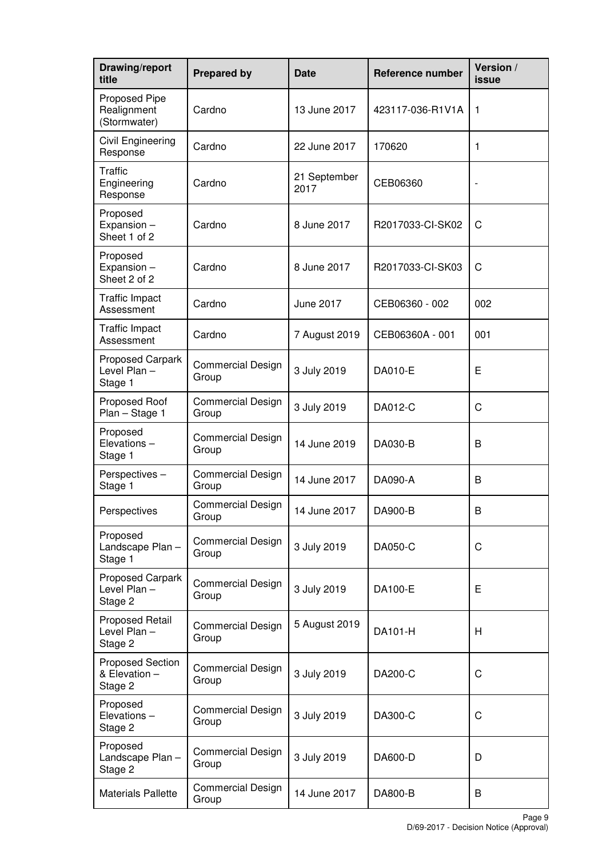| Drawing/report<br>title                          | <b>Prepared by</b>                | <b>Date</b>          | Reference number | Version /<br>issue |
|--------------------------------------------------|-----------------------------------|----------------------|------------------|--------------------|
| Proposed Pipe<br>Realignment<br>(Stormwater)     | Cardno                            | 13 June 2017         | 423117-036-R1V1A | 1                  |
| Civil Engineering<br>Response                    | Cardno                            | 22 June 2017         | 170620           | 1                  |
| <b>Traffic</b><br>Engineering<br>Response        | Cardno                            | 21 September<br>2017 | CEB06360         | ÷                  |
| Proposed<br>Expansion -<br>Sheet 1 of 2          | Cardno                            | 8 June 2017          | R2017033-CI-SK02 | C                  |
| Proposed<br>Expansion -<br>Sheet 2 of 2          | Cardno                            | 8 June 2017          | R2017033-CI-SK03 | C                  |
| <b>Traffic Impact</b><br>Assessment              | Cardno                            | <b>June 2017</b>     | CEB06360 - 002   | 002                |
| <b>Traffic Impact</b><br>Assessment              | Cardno                            | 7 August 2019        | CEB06360A - 001  | 001                |
| Proposed Carpark<br>Level Plan-<br>Stage 1       | <b>Commercial Design</b><br>Group | 3 July 2019          | DA010-E          | Е                  |
| Proposed Roof<br>Plan - Stage 1                  | <b>Commercial Design</b><br>Group | 3 July 2019          | DA012-C          | C                  |
| Proposed<br>Elevations-<br>Stage 1               | <b>Commercial Design</b><br>Group | 14 June 2019         | DA030-B          | B                  |
| Perspectives-<br>Stage 1                         | Commercial Design<br>Group        | 14 June 2017         | DA090-A          | B                  |
| Perspectives                                     | Commercial Design<br>Group        | 14 June 2017         | DA900-B          | B                  |
| Proposed<br>Landscape Plan-<br>Stage 1           | <b>Commercial Design</b><br>Group | 3 July 2019          | DA050-C          | C                  |
| Proposed Carpark<br>Level Plan-<br>Stage 2       | <b>Commercial Design</b><br>Group | 3 July 2019          | DA100-E          | E                  |
| <b>Proposed Retail</b><br>Level Plan-<br>Stage 2 | <b>Commercial Design</b><br>Group | 5 August 2019        | DA101-H          | H                  |
| Proposed Section<br>& Elevation -<br>Stage 2     | <b>Commercial Design</b><br>Group | 3 July 2019          | DA200-C          | C                  |
| Proposed<br>Elevations-<br>Stage 2               | <b>Commercial Design</b><br>Group | 3 July 2019          | DA300-C          | $\mathsf C$        |
| Proposed<br>Landscape Plan-<br>Stage 2           | <b>Commercial Design</b><br>Group | 3 July 2019          | DA600-D          | D                  |
| <b>Materials Pallette</b>                        | <b>Commercial Design</b><br>Group | 14 June 2017         | DA800-B          | B                  |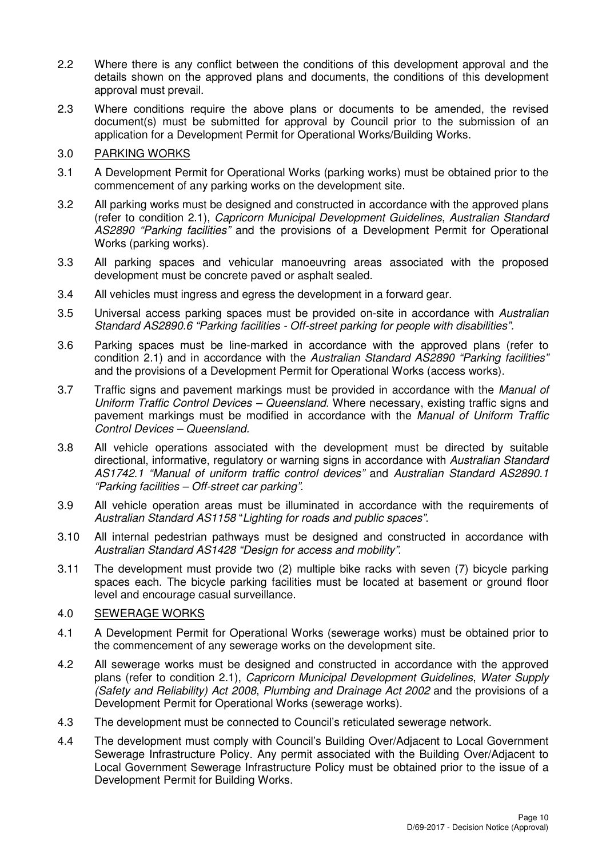- 2.2 Where there is any conflict between the conditions of this development approval and the details shown on the approved plans and documents, the conditions of this development approval must prevail.
- 2.3 Where conditions require the above plans or documents to be amended, the revised document(s) must be submitted for approval by Council prior to the submission of an application for a Development Permit for Operational Works/Building Works.

# 3.0 PARKING WORKS

- 3.1 A Development Permit for Operational Works (parking works) must be obtained prior to the commencement of any parking works on the development site.
- 3.2 All parking works must be designed and constructed in accordance with the approved plans (refer to condition 2.1), Capricorn Municipal Development Guidelines, Australian Standard AS2890 "Parking facilities" and the provisions of a Development Permit for Operational Works (parking works).
- 3.3 All parking spaces and vehicular manoeuvring areas associated with the proposed development must be concrete paved or asphalt sealed.
- 3.4 All vehicles must ingress and egress the development in a forward gear.
- 3.5 Universal access parking spaces must be provided on-site in accordance with Australian Standard AS2890.6 "Parking facilities - Off-street parking for people with disabilities".
- 3.6 Parking spaces must be line-marked in accordance with the approved plans (refer to condition 2.1) and in accordance with the Australian Standard AS2890 "Parking facilities" and the provisions of a Development Permit for Operational Works (access works).
- 3.7 Traffic signs and pavement markings must be provided in accordance with the Manual of Uniform Traffic Control Devices – Queensland. Where necessary, existing traffic signs and pavement markings must be modified in accordance with the Manual of Uniform Traffic Control Devices – Queensland.
- 3.8 All vehicle operations associated with the development must be directed by suitable directional, informative, regulatory or warning signs in accordance with Australian Standard AS1742.1 "Manual of uniform traffic control devices" and Australian Standard AS2890.1 "Parking facilities – Off-street car parking".
- 3.9 All vehicle operation areas must be illuminated in accordance with the requirements of Australian Standard AS1158 "Lighting for roads and public spaces".
- 3.10 All internal pedestrian pathways must be designed and constructed in accordance with Australian Standard AS1428 "Design for access and mobility".
- 3.11 The development must provide two (2) multiple bike racks with seven (7) bicycle parking spaces each. The bicycle parking facilities must be located at basement or ground floor level and encourage casual surveillance.

# 4.0 SEWERAGE WORKS

- 4.1 A Development Permit for Operational Works (sewerage works) must be obtained prior to the commencement of any sewerage works on the development site.
- 4.2 All sewerage works must be designed and constructed in accordance with the approved plans (refer to condition 2.1), Capricorn Municipal Development Guidelines, Water Supply (Safety and Reliability) Act 2008, Plumbing and Drainage Act 2002 and the provisions of a Development Permit for Operational Works (sewerage works).
- 4.3 The development must be connected to Council's reticulated sewerage network.
- 4.4 The development must comply with Council's Building Over/Adjacent to Local Government Sewerage Infrastructure Policy. Any permit associated with the Building Over/Adjacent to Local Government Sewerage Infrastructure Policy must be obtained prior to the issue of a Development Permit for Building Works.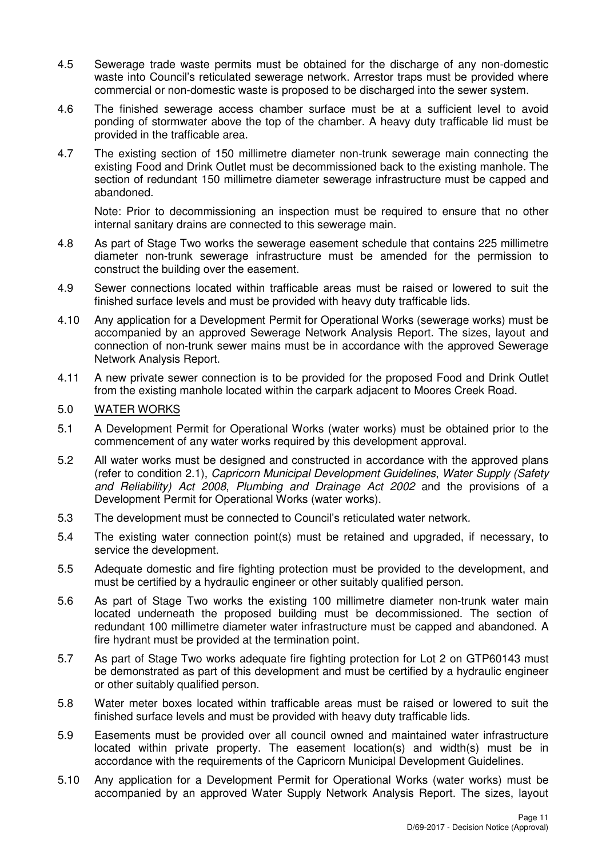- 4.5 Sewerage trade waste permits must be obtained for the discharge of any non-domestic waste into Council's reticulated sewerage network. Arrestor traps must be provided where commercial or non-domestic waste is proposed to be discharged into the sewer system.
- 4.6 The finished sewerage access chamber surface must be at a sufficient level to avoid ponding of stormwater above the top of the chamber. A heavy duty trafficable lid must be provided in the trafficable area.
- 4.7 The existing section of 150 millimetre diameter non-trunk sewerage main connecting the existing Food and Drink Outlet must be decommissioned back to the existing manhole. The section of redundant 150 millimetre diameter sewerage infrastructure must be capped and abandoned.

Note: Prior to decommissioning an inspection must be required to ensure that no other internal sanitary drains are connected to this sewerage main.

- 4.8 As part of Stage Two works the sewerage easement schedule that contains 225 millimetre diameter non-trunk sewerage infrastructure must be amended for the permission to construct the building over the easement.
- 4.9 Sewer connections located within trafficable areas must be raised or lowered to suit the finished surface levels and must be provided with heavy duty trafficable lids.
- 4.10 Any application for a Development Permit for Operational Works (sewerage works) must be accompanied by an approved Sewerage Network Analysis Report. The sizes, layout and connection of non-trunk sewer mains must be in accordance with the approved Sewerage Network Analysis Report.
- 4.11 A new private sewer connection is to be provided for the proposed Food and Drink Outlet from the existing manhole located within the carpark adjacent to Moores Creek Road.

### 5.0 WATER WORKS

- 5.1 A Development Permit for Operational Works (water works) must be obtained prior to the commencement of any water works required by this development approval.
- 5.2 All water works must be designed and constructed in accordance with the approved plans (refer to condition 2.1), Capricorn Municipal Development Guidelines, Water Supply (Safety and Reliability) Act 2008, Plumbing and Drainage Act 2002 and the provisions of a Development Permit for Operational Works (water works).
- 5.3 The development must be connected to Council's reticulated water network.
- 5.4 The existing water connection point(s) must be retained and upgraded, if necessary, to service the development.
- 5.5 Adequate domestic and fire fighting protection must be provided to the development, and must be certified by a hydraulic engineer or other suitably qualified person.
- 5.6 As part of Stage Two works the existing 100 millimetre diameter non-trunk water main located underneath the proposed building must be decommissioned. The section of redundant 100 millimetre diameter water infrastructure must be capped and abandoned. A fire hydrant must be provided at the termination point.
- 5.7 As part of Stage Two works adequate fire fighting protection for Lot 2 on GTP60143 must be demonstrated as part of this development and must be certified by a hydraulic engineer or other suitably qualified person.
- 5.8 Water meter boxes located within trafficable areas must be raised or lowered to suit the finished surface levels and must be provided with heavy duty trafficable lids.
- 5.9 Easements must be provided over all council owned and maintained water infrastructure located within private property. The easement location(s) and width(s) must be in accordance with the requirements of the Capricorn Municipal Development Guidelines.
- 5.10 Any application for a Development Permit for Operational Works (water works) must be accompanied by an approved Water Supply Network Analysis Report. The sizes, layout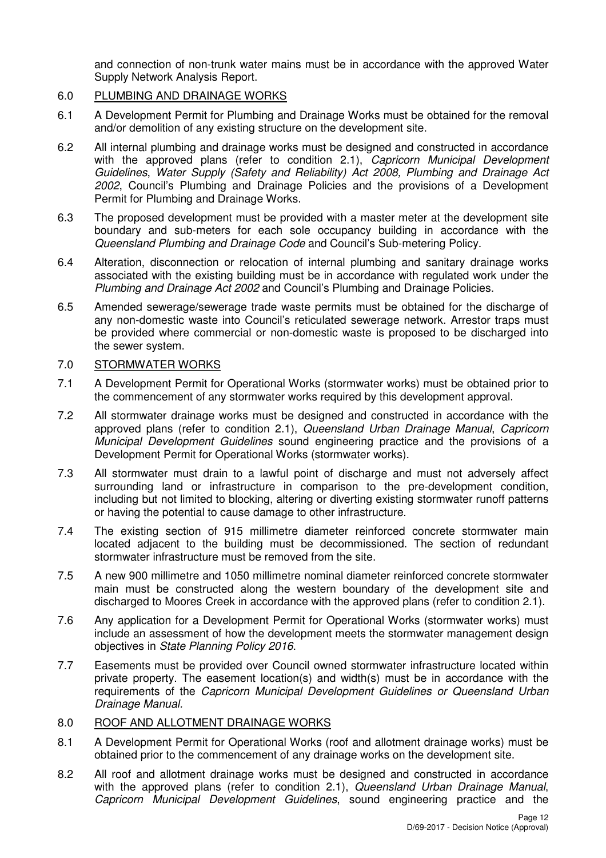and connection of non-trunk water mains must be in accordance with the approved Water Supply Network Analysis Report.

# 6.0 PLUMBING AND DRAINAGE WORKS

- 6.1 A Development Permit for Plumbing and Drainage Works must be obtained for the removal and/or demolition of any existing structure on the development site.
- 6.2 All internal plumbing and drainage works must be designed and constructed in accordance with the approved plans (refer to condition 2.1), Capricorn Municipal Development Guidelines, Water Supply (Safety and Reliability) Act 2008, Plumbing and Drainage Act 2002, Council's Plumbing and Drainage Policies and the provisions of a Development Permit for Plumbing and Drainage Works.
- 6.3 The proposed development must be provided with a master meter at the development site boundary and sub-meters for each sole occupancy building in accordance with the Queensland Plumbing and Drainage Code and Council's Sub-metering Policy.
- 6.4 Alteration, disconnection or relocation of internal plumbing and sanitary drainage works associated with the existing building must be in accordance with regulated work under the Plumbing and Drainage Act 2002 and Council's Plumbing and Drainage Policies.
- 6.5 Amended sewerage/sewerage trade waste permits must be obtained for the discharge of any non-domestic waste into Council's reticulated sewerage network. Arrestor traps must be provided where commercial or non-domestic waste is proposed to be discharged into the sewer system.

## 7.0 STORMWATER WORKS

- 7.1 A Development Permit for Operational Works (stormwater works) must be obtained prior to the commencement of any stormwater works required by this development approval.
- 7.2 All stormwater drainage works must be designed and constructed in accordance with the approved plans (refer to condition 2.1), Queensland Urban Drainage Manual, Capricorn Municipal Development Guidelines sound engineering practice and the provisions of a Development Permit for Operational Works (stormwater works).
- 7.3 All stormwater must drain to a lawful point of discharge and must not adversely affect surrounding land or infrastructure in comparison to the pre-development condition, including but not limited to blocking, altering or diverting existing stormwater runoff patterns or having the potential to cause damage to other infrastructure.
- 7.4 The existing section of 915 millimetre diameter reinforced concrete stormwater main located adjacent to the building must be decommissioned. The section of redundant stormwater infrastructure must be removed from the site.
- 7.5 A new 900 millimetre and 1050 millimetre nominal diameter reinforced concrete stormwater main must be constructed along the western boundary of the development site and discharged to Moores Creek in accordance with the approved plans (refer to condition 2.1).
- 7.6 Any application for a Development Permit for Operational Works (stormwater works) must include an assessment of how the development meets the stormwater management design objectives in State Planning Policy 2016.
- 7.7 Easements must be provided over Council owned stormwater infrastructure located within private property. The easement location(s) and width(s) must be in accordance with the requirements of the Capricorn Municipal Development Guidelines or Queensland Urban Drainage Manual.

# 8.0 ROOF AND ALLOTMENT DRAINAGE WORKS

- 8.1 A Development Permit for Operational Works (roof and allotment drainage works) must be obtained prior to the commencement of any drainage works on the development site.
- 8.2 All roof and allotment drainage works must be designed and constructed in accordance with the approved plans (refer to condition 2.1), Queensland Urban Drainage Manual, Capricorn Municipal Development Guidelines, sound engineering practice and the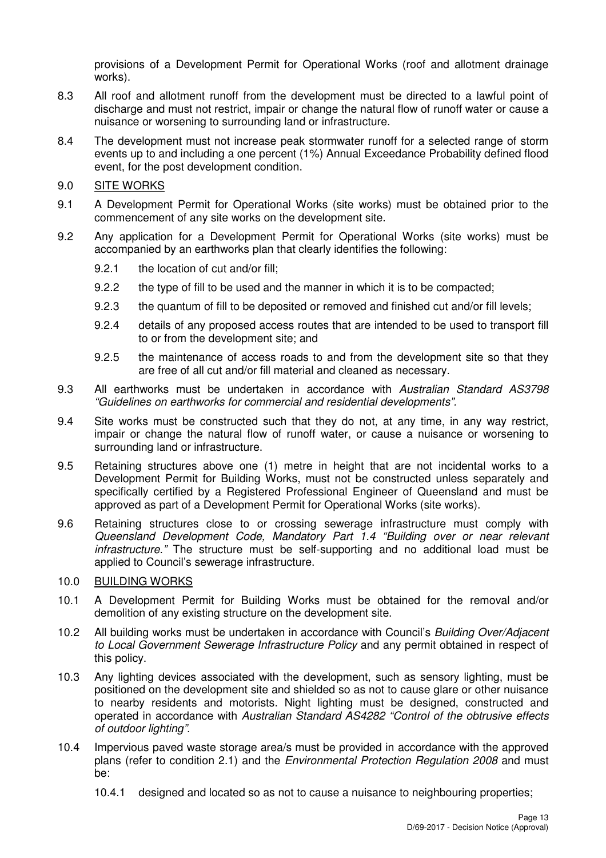provisions of a Development Permit for Operational Works (roof and allotment drainage works).

- 8.3 All roof and allotment runoff from the development must be directed to a lawful point of discharge and must not restrict, impair or change the natural flow of runoff water or cause a nuisance or worsening to surrounding land or infrastructure.
- 8.4 The development must not increase peak stormwater runoff for a selected range of storm events up to and including a one percent (1%) Annual Exceedance Probability defined flood event, for the post development condition.
- 9.0 SITE WORKS
- 9.1 A Development Permit for Operational Works (site works) must be obtained prior to the commencement of any site works on the development site.
- 9.2 Any application for a Development Permit for Operational Works (site works) must be accompanied by an earthworks plan that clearly identifies the following:
	- 9.2.1 the location of cut and/or fill;
	- 9.2.2 the type of fill to be used and the manner in which it is to be compacted;
	- 9.2.3 the quantum of fill to be deposited or removed and finished cut and/or fill levels;
	- 9.2.4 details of any proposed access routes that are intended to be used to transport fill to or from the development site; and
	- 9.2.5 the maintenance of access roads to and from the development site so that they are free of all cut and/or fill material and cleaned as necessary.
- 9.3 All earthworks must be undertaken in accordance with Australian Standard AS3798 "Guidelines on earthworks for commercial and residential developments".
- 9.4 Site works must be constructed such that they do not, at any time, in any way restrict, impair or change the natural flow of runoff water, or cause a nuisance or worsening to surrounding land or infrastructure.
- 9.5 Retaining structures above one (1) metre in height that are not incidental works to a Development Permit for Building Works, must not be constructed unless separately and specifically certified by a Registered Professional Engineer of Queensland and must be approved as part of a Development Permit for Operational Works (site works).
- 9.6 Retaining structures close to or crossing sewerage infrastructure must comply with Queensland Development Code, Mandatory Part 1.4 "Building over or near relevant infrastructure." The structure must be self-supporting and no additional load must be applied to Council's sewerage infrastructure.

### 10.0 BUILDING WORKS

- 10.1 A Development Permit for Building Works must be obtained for the removal and/or demolition of any existing structure on the development site.
- 10.2 All building works must be undertaken in accordance with Council's Building Over/Adjacent to Local Government Sewerage Infrastructure Policy and any permit obtained in respect of this policy.
- 10.3 Any lighting devices associated with the development, such as sensory lighting, must be positioned on the development site and shielded so as not to cause glare or other nuisance to nearby residents and motorists. Night lighting must be designed, constructed and operated in accordance with Australian Standard AS4282 "Control of the obtrusive effects of outdoor lighting".
- 10.4 Impervious paved waste storage area/s must be provided in accordance with the approved plans (refer to condition 2.1) and the Environmental Protection Regulation 2008 and must be:
	- 10.4.1 designed and located so as not to cause a nuisance to neighbouring properties;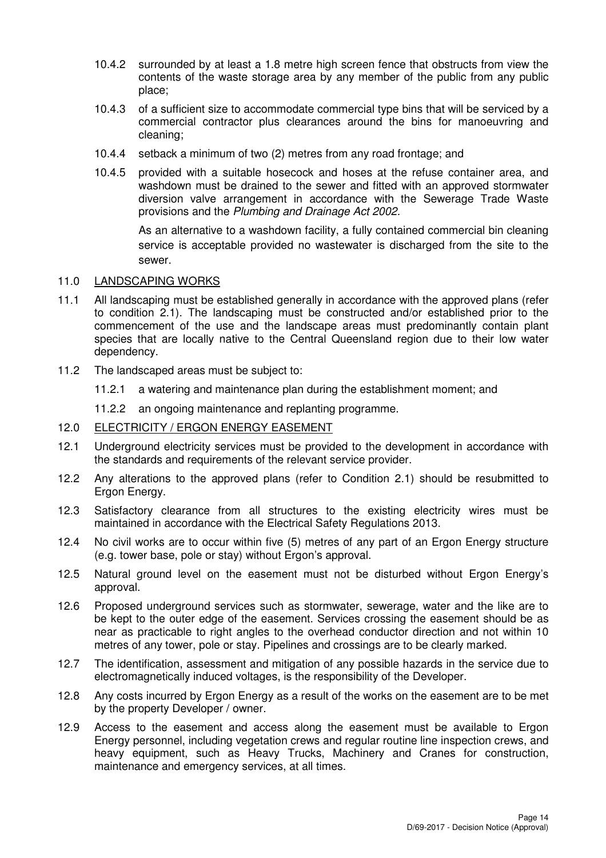- 10.4.2 surrounded by at least a 1.8 metre high screen fence that obstructs from view the contents of the waste storage area by any member of the public from any public place;
- 10.4.3 of a sufficient size to accommodate commercial type bins that will be serviced by a commercial contractor plus clearances around the bins for manoeuvring and cleaning;
- 10.4.4 setback a minimum of two (2) metres from any road frontage; and
- 10.4.5 provided with a suitable hosecock and hoses at the refuse container area, and washdown must be drained to the sewer and fitted with an approved stormwater diversion valve arrangement in accordance with the Sewerage Trade Waste provisions and the Plumbing and Drainage Act 2002.

As an alternative to a washdown facility, a fully contained commercial bin cleaning service is acceptable provided no wastewater is discharged from the site to the sewer.

### 11.0 LANDSCAPING WORKS

- 11.1 All landscaping must be established generally in accordance with the approved plans (refer to condition 2.1). The landscaping must be constructed and/or established prior to the commencement of the use and the landscape areas must predominantly contain plant species that are locally native to the Central Queensland region due to their low water dependency.
- 11.2 The landscaped areas must be subject to:
	- 11.2.1 a watering and maintenance plan during the establishment moment; and
	- 11.2.2 an ongoing maintenance and replanting programme.
- 12.0 ELECTRICITY / ERGON ENERGY EASEMENT
- 12.1 Underground electricity services must be provided to the development in accordance with the standards and requirements of the relevant service provider.
- 12.2 Any alterations to the approved plans (refer to Condition 2.1) should be resubmitted to Ergon Energy.
- 12.3 Satisfactory clearance from all structures to the existing electricity wires must be maintained in accordance with the Electrical Safety Regulations 2013.
- 12.4 No civil works are to occur within five (5) metres of any part of an Ergon Energy structure (e.g. tower base, pole or stay) without Ergon's approval.
- 12.5 Natural ground level on the easement must not be disturbed without Ergon Energy's approval.
- 12.6 Proposed underground services such as stormwater, sewerage, water and the like are to be kept to the outer edge of the easement. Services crossing the easement should be as near as practicable to right angles to the overhead conductor direction and not within 10 metres of any tower, pole or stay. Pipelines and crossings are to be clearly marked.
- 12.7 The identification, assessment and mitigation of any possible hazards in the service due to electromagnetically induced voltages, is the responsibility of the Developer.
- 12.8 Any costs incurred by Ergon Energy as a result of the works on the easement are to be met by the property Developer / owner.
- 12.9 Access to the easement and access along the easement must be available to Ergon Energy personnel, including vegetation crews and regular routine line inspection crews, and heavy equipment, such as Heavy Trucks, Machinery and Cranes for construction, maintenance and emergency services, at all times.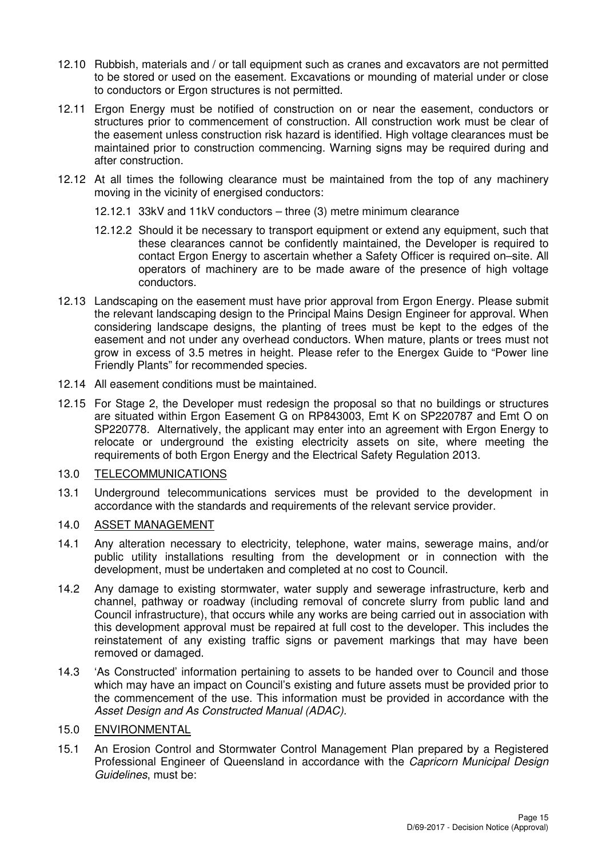- 12.10 Rubbish, materials and / or tall equipment such as cranes and excavators are not permitted to be stored or used on the easement. Excavations or mounding of material under or close to conductors or Ergon structures is not permitted.
- 12.11 Ergon Energy must be notified of construction on or near the easement, conductors or structures prior to commencement of construction. All construction work must be clear of the easement unless construction risk hazard is identified. High voltage clearances must be maintained prior to construction commencing. Warning signs may be required during and after construction.
- 12.12 At all times the following clearance must be maintained from the top of any machinery moving in the vicinity of energised conductors:
	- 12.12.1 33kV and 11kV conductors three (3) metre minimum clearance
	- 12.12.2 Should it be necessary to transport equipment or extend any equipment, such that these clearances cannot be confidently maintained, the Developer is required to contact Ergon Energy to ascertain whether a Safety Officer is required on–site. All operators of machinery are to be made aware of the presence of high voltage conductors.
- 12.13 Landscaping on the easement must have prior approval from Ergon Energy. Please submit the relevant landscaping design to the Principal Mains Design Engineer for approval. When considering landscape designs, the planting of trees must be kept to the edges of the easement and not under any overhead conductors. When mature, plants or trees must not grow in excess of 3.5 metres in height. Please refer to the Energex Guide to "Power line Friendly Plants" for recommended species.
- 12.14 All easement conditions must be maintained.
- 12.15 For Stage 2, the Developer must redesign the proposal so that no buildings or structures are situated within Ergon Easement G on RP843003, Emt K on SP220787 and Emt O on SP220778. Alternatively, the applicant may enter into an agreement with Ergon Energy to relocate or underground the existing electricity assets on site, where meeting the requirements of both Ergon Energy and the Electrical Safety Regulation 2013.

### 13.0 TELECOMMUNICATIONS

13.1 Underground telecommunications services must be provided to the development in accordance with the standards and requirements of the relevant service provider.

#### 14.0 ASSET MANAGEMENT

- 14.1 Any alteration necessary to electricity, telephone, water mains, sewerage mains, and/or public utility installations resulting from the development or in connection with the development, must be undertaken and completed at no cost to Council.
- 14.2 Any damage to existing stormwater, water supply and sewerage infrastructure, kerb and channel, pathway or roadway (including removal of concrete slurry from public land and Council infrastructure), that occurs while any works are being carried out in association with this development approval must be repaired at full cost to the developer. This includes the reinstatement of any existing traffic signs or pavement markings that may have been removed or damaged.
- 14.3 'As Constructed' information pertaining to assets to be handed over to Council and those which may have an impact on Council's existing and future assets must be provided prior to the commencement of the use. This information must be provided in accordance with the Asset Design and As Constructed Manual (ADAC).

# 15.0 ENVIRONMENTAL

15.1 An Erosion Control and Stormwater Control Management Plan prepared by a Registered Professional Engineer of Queensland in accordance with the Capricorn Municipal Design Guidelines, must be: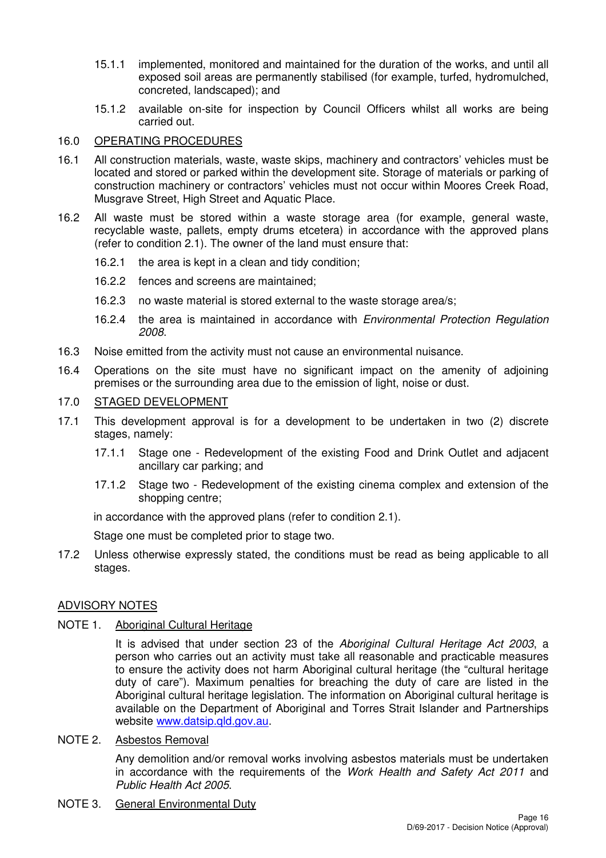- 15.1.1 implemented, monitored and maintained for the duration of the works, and until all exposed soil areas are permanently stabilised (for example, turfed, hydromulched, concreted, landscaped); and
- 15.1.2 available on-site for inspection by Council Officers whilst all works are being carried out.

# 16.0 OPERATING PROCEDURES

- 16.1 All construction materials, waste, waste skips, machinery and contractors' vehicles must be located and stored or parked within the development site. Storage of materials or parking of construction machinery or contractors' vehicles must not occur within Moores Creek Road, Musgrave Street, High Street and Aquatic Place.
- 16.2 All waste must be stored within a waste storage area (for example, general waste, recyclable waste, pallets, empty drums etcetera) in accordance with the approved plans (refer to condition 2.1). The owner of the land must ensure that:
	- 16.2.1 the area is kept in a clean and tidy condition;
	- 16.2.2 fences and screens are maintained;
	- 16.2.3 no waste material is stored external to the waste storage area/s;
	- 16.2.4 the area is maintained in accordance with Environmental Protection Regulation 2008.
- 16.3 Noise emitted from the activity must not cause an environmental nuisance.
- 16.4 Operations on the site must have no significant impact on the amenity of adjoining premises or the surrounding area due to the emission of light, noise or dust.

# 17.0 STAGED DEVELOPMENT

- 17.1 This development approval is for a development to be undertaken in two (2) discrete stages, namely:
	- 17.1.1 Stage one Redevelopment of the existing Food and Drink Outlet and adjacent ancillary car parking; and
	- 17.1.2 Stage two Redevelopment of the existing cinema complex and extension of the shopping centre;

in accordance with the approved plans (refer to condition 2.1).

Stage one must be completed prior to stage two.

17.2 Unless otherwise expressly stated, the conditions must be read as being applicable to all stages.

# ADVISORY NOTES

# NOTE 1. Aboriginal Cultural Heritage

It is advised that under section 23 of the Aboriginal Cultural Heritage Act 2003, a person who carries out an activity must take all reasonable and practicable measures to ensure the activity does not harm Aboriginal cultural heritage (the "cultural heritage duty of care"). Maximum penalties for breaching the duty of care are listed in the Aboriginal cultural heritage legislation. The information on Aboriginal cultural heritage is available on the Department of Aboriginal and Torres Strait Islander and Partnerships website www.datsip.qld.gov.au.

# NOTE 2. Asbestos Removal

Any demolition and/or removal works involving asbestos materials must be undertaken in accordance with the requirements of the Work Health and Safety Act 2011 and Public Health Act 2005.

NOTE 3. General Environmental Duty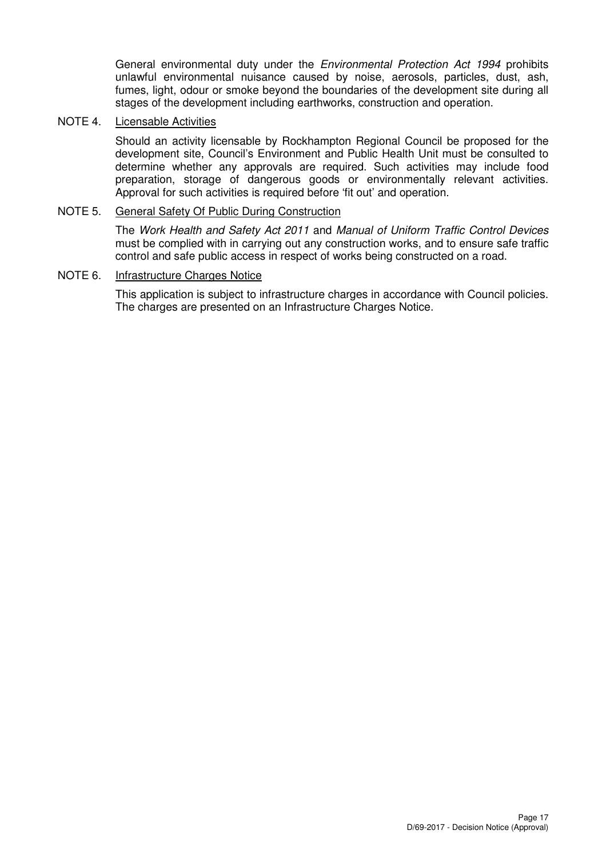General environmental duty under the *Environmental Protection Act 1994* prohibits unlawful environmental nuisance caused by noise, aerosols, particles, dust, ash, fumes, light, odour or smoke beyond the boundaries of the development site during all stages of the development including earthworks, construction and operation.

## NOTE 4. Licensable Activities

Should an activity licensable by Rockhampton Regional Council be proposed for the development site, Council's Environment and Public Health Unit must be consulted to determine whether any approvals are required. Such activities may include food preparation, storage of dangerous goods or environmentally relevant activities. Approval for such activities is required before 'fit out' and operation.

# NOTE 5. General Safety Of Public During Construction

The Work Health and Safety Act 2011 and Manual of Uniform Traffic Control Devices must be complied with in carrying out any construction works, and to ensure safe traffic control and safe public access in respect of works being constructed on a road.

## NOTE 6. Infrastructure Charges Notice

This application is subject to infrastructure charges in accordance with Council policies. The charges are presented on an Infrastructure Charges Notice.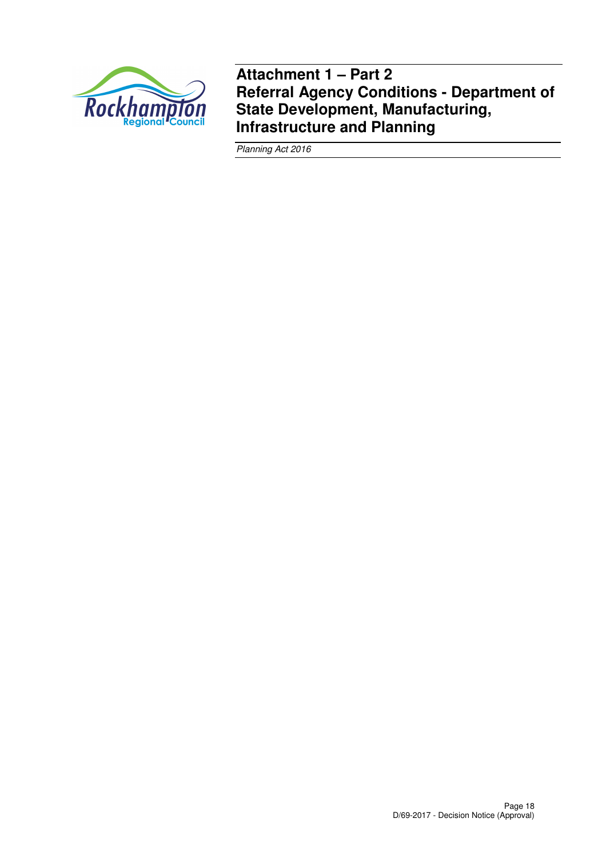

**Attachment 1 – Part 2 Referral Agency Conditions - Department of State Development, Manufacturing, Infrastructure and Planning** 

Planning Act 2016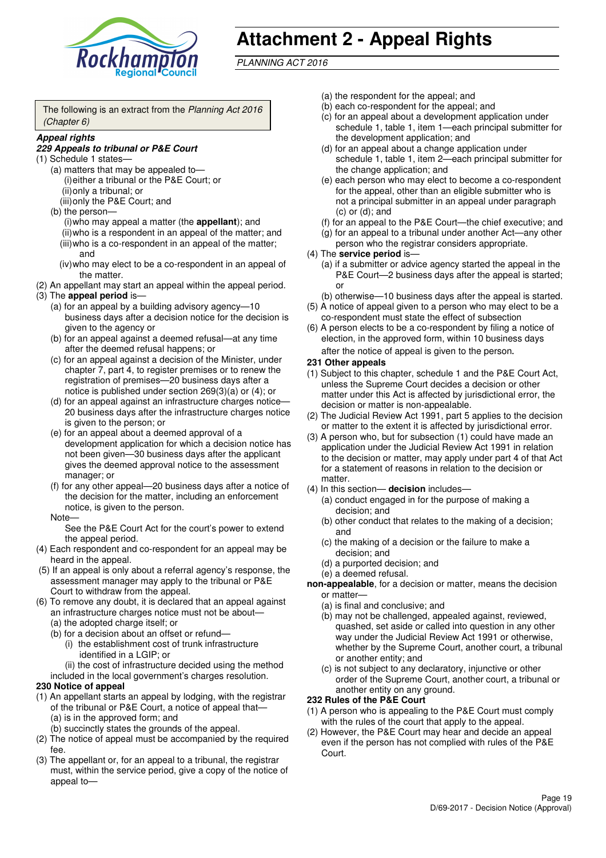

# **Attachment 2 - Appeal Rights**

PLANNING ACT 2016

The following is an extract from the Planning Act 2016 (Chapter 6)

#### **Appeal rights**

#### **229 Appeals to tribunal or P&E Court**

- (1) Schedule 1 states—
	- (a) matters that may be appealed to— (i) either a tribunal or the P&E Court; or (ii) only a tribunal; or
	- (iii) only the P&E Court; and (b) the person—
		- (i) who may appeal a matter (the **appellant**); and (ii) who is a respondent in an appeal of the matter; and (iii) who is a co-respondent in an appeal of the matter; and
		- (iv) who may elect to be a co-respondent in an appeal of the matter.
- (2) An appellant may start an appeal within the appeal period.
- (3) The **appeal period** is—
	- (a) for an appeal by a building advisory agency—10 business days after a decision notice for the decision is given to the agency or
	- (b) for an appeal against a deemed refusal—at any time after the deemed refusal happens; or
	- (c) for an appeal against a decision of the Minister, under chapter 7, part 4, to register premises or to renew the registration of premises—20 business days after a notice is published under section 269(3)(a) or (4); or
	- (d) for an appeal against an infrastructure charges notice— 20 business days after the infrastructure charges notice is given to the person; or
	- (e) for an appeal about a deemed approval of a development application for which a decision notice has not been given—30 business days after the applicant gives the deemed approval notice to the assessment manager; or
	- (f) for any other appeal—20 business days after a notice of the decision for the matter, including an enforcement notice, is given to the person.

#### Note—

See the P&E Court Act for the court's power to extend the appeal period.

- (4) Each respondent and co-respondent for an appeal may be heard in the appeal.
- (5) If an appeal is only about a referral agency's response, the assessment manager may apply to the tribunal or P&E Court to withdraw from the appeal.
- (6) To remove any doubt, it is declared that an appeal against an infrastructure charges notice must not be about—
	- (a) the adopted charge itself; or
	- (b) for a decision about an offset or refund—
		- (i) the establishment cost of trunk infrastructure identified in a LGIP; or
		- (ii) the cost of infrastructure decided using the method
	- included in the local government's charges resolution.

#### **230 Notice of appeal**

- (1) An appellant starts an appeal by lodging, with the registrar of the tribunal or P&E Court, a notice of appeal that—
	- (a) is in the approved form; and
	- (b) succinctly states the grounds of the appeal.
- (2) The notice of appeal must be accompanied by the required fee.
- (3) The appellant or, for an appeal to a tribunal, the registrar must, within the service period, give a copy of the notice of appeal to—
- (a) the respondent for the appeal; and
- (b) each co-respondent for the appeal; and
- (c) for an appeal about a development application under schedule 1, table 1, item 1—each principal submitter for the development application; and
- (d) for an appeal about a change application under schedule 1, table 1, item 2—each principal submitter for the change application; and
- (e) each person who may elect to become a co-respondent for the appeal, other than an eligible submitter who is not a principal submitter in an appeal under paragraph  $(c)$  or  $(d)$ ; and
- (f) for an appeal to the P&E Court—the chief executive; and
- (g) for an appeal to a tribunal under another Act—any other person who the registrar considers appropriate.
- (4) The **service period** is—
	- (a) if a submitter or advice agency started the appeal in the P&E Court-2 business days after the appeal is started; or
	- (b) otherwise—10 business days after the appeal is started.
- (5) A notice of appeal given to a person who may elect to be a co-respondent must state the effect of subsection
- (6) A person elects to be a co-respondent by filing a notice of election, in the approved form, within 10 business days after the notice of appeal is given to the person*.*
- **231 Other appeals**
- (1) Subject to this chapter, schedule 1 and the P&E Court Act, unless the Supreme Court decides a decision or other matter under this Act is affected by jurisdictional error, the decision or matter is non-appealable.
- (2) The Judicial Review Act 1991, part 5 applies to the decision or matter to the extent it is affected by jurisdictional error.
- (3) A person who, but for subsection (1) could have made an application under the Judicial Review Act 1991 in relation to the decision or matter, may apply under part 4 of that Act for a statement of reasons in relation to the decision or matter.
- (4) In this section— **decision** includes—
	- (a) conduct engaged in for the purpose of making a decision; and
	- (b) other conduct that relates to the making of a decision; and
	- (c) the making of a decision or the failure to make a decision; and
	- (d) a purported decision; and
	- (e) a deemed refusal.

**non-appealable**, for a decision or matter, means the decision or matter—

- (a) is final and conclusive; and
- (b) may not be challenged, appealed against, reviewed, quashed, set aside or called into question in any other way under the Judicial Review Act 1991 or otherwise, whether by the Supreme Court, another court, a tribunal or another entity; and
- (c) is not subject to any declaratory, injunctive or other order of the Supreme Court, another court, a tribunal or another entity on any ground.

#### **232 Rules of the P&E Court**

- (1) A person who is appealing to the P&E Court must comply with the rules of the court that apply to the appeal.
- (2) However, the P&E Court may hear and decide an appeal even if the person has not complied with rules of the P&E Court.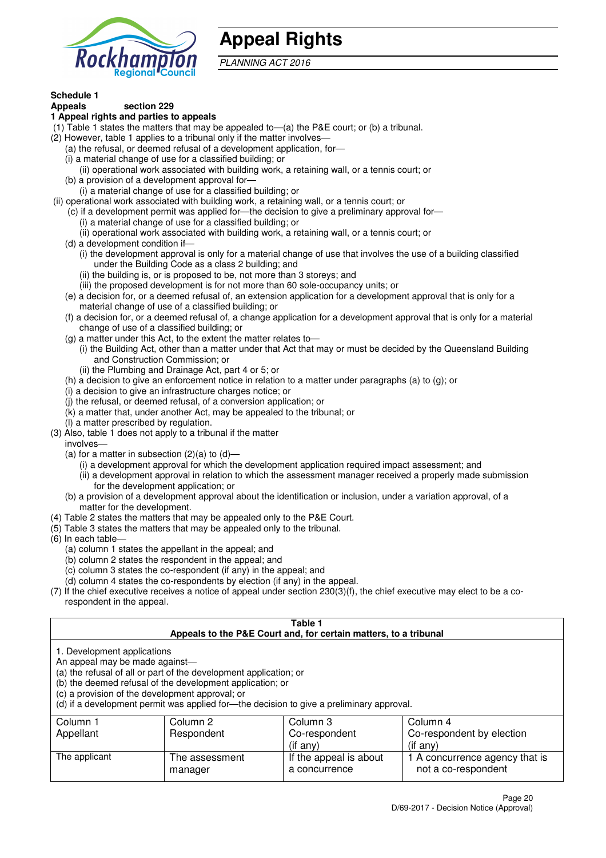

# **Appeal Rights**

PLANNING ACT 2016

# **Schedule 1**

#### **Appeals section 229 1 Appeal rights and parties to appeals**

- (1) Table 1 states the matters that may be appealed to—(a) the P&E court; or (b) a tribunal.
- (2) However, table 1 applies to a tribunal only if the matter involves—
	- (a) the refusal, or deemed refusal of a development application, for—
	- (i) a material change of use for a classified building; or
	- (ii) operational work associated with building work, a retaining wall, or a tennis court; or
	- (b) a provision of a development approval for—
	- (i) a material change of use for a classified building; or
- (ii) operational work associated with building work, a retaining wall, or a tennis court; or
	- (c) if a development permit was applied for—the decision to give a preliminary approval for— (i) a material change of use for a classified building; or
	- (ii) operational work associated with building work, a retaining wall, or a tennis court; or
	- (d) a development condition if—
		- (i) the development approval is only for a material change of use that involves the use of a building classified under the Building Code as a class 2 building; and
		- (ii) the building is, or is proposed to be, not more than 3 storeys; and
		- (iii) the proposed development is for not more than 60 sole-occupancy units; or
	- (e) a decision for, or a deemed refusal of, an extension application for a development approval that is only for a material change of use of a classified building; or
	- (f) a decision for, or a deemed refusal of, a change application for a development approval that is only for a material change of use of a classified building; or
	- (g) a matter under this Act, to the extent the matter relates to—
		- (i) the Building Act, other than a matter under that Act that may or must be decided by the Queensland Building and Construction Commission; or
		- (ii) the Plumbing and Drainage Act, part 4 or 5; or
	- (h) a decision to give an enforcement notice in relation to a matter under paragraphs (a) to (g); or
	- (i) a decision to give an infrastructure charges notice; or
	- (j) the refusal, or deemed refusal, of a conversion application; or
	- (k) a matter that, under another Act, may be appealed to the tribunal; or
	- (l) a matter prescribed by regulation.
- (3) Also, table 1 does not apply to a tribunal if the matter

involves—

- (a) for a matter in subsection  $(2)(a)$  to  $(d)$ 
	- (i) a development approval for which the development application required impact assessment; and
	- (ii) a development approval in relation to which the assessment manager received a properly made submission for the development application; or
- (b) a provision of a development approval about the identification or inclusion, under a variation approval, of a matter for the development.
- (4) Table 2 states the matters that may be appealed only to the P&E Court.
- (5) Table 3 states the matters that may be appealed only to the tribunal.
- (6) In each table—
	- (a) column 1 states the appellant in the appeal; and
	- (b) column 2 states the respondent in the appeal; and
	- (c) column 3 states the co-respondent (if any) in the appeal; and
	- (d) column 4 states the co-respondents by election (if any) in the appeal.
- (7) If the chief executive receives a notice of appeal under section 230(3)(f), the chief executive may elect to be a corespondent in the appeal.

| Table 1<br>Appeals to the P&E Court and, for certain matters, to a tribunal                                                                                                                                                                                                                                                                    |                           |                                         |                                                       |  |  |
|------------------------------------------------------------------------------------------------------------------------------------------------------------------------------------------------------------------------------------------------------------------------------------------------------------------------------------------------|---------------------------|-----------------------------------------|-------------------------------------------------------|--|--|
| 1. Development applications<br>An appeal may be made against-<br>(a) the refusal of all or part of the development application; or<br>(b) the deemed refusal of the development application; or<br>(c) a provision of the development approval; or<br>(d) if a development permit was applied for-the decision to give a preliminary approval. |                           |                                         |                                                       |  |  |
| Column 1                                                                                                                                                                                                                                                                                                                                       | Column 2                  | Column 3                                | Column 4                                              |  |  |
| Appellant                                                                                                                                                                                                                                                                                                                                      | Respondent                | Co-respondent<br>$($ if any $)$         | Co-respondent by election<br>$($ if any $)$           |  |  |
| The applicant                                                                                                                                                                                                                                                                                                                                  | The assessment<br>manager | If the appeal is about<br>a concurrence | 1 A concurrence agency that is<br>not a co-respondent |  |  |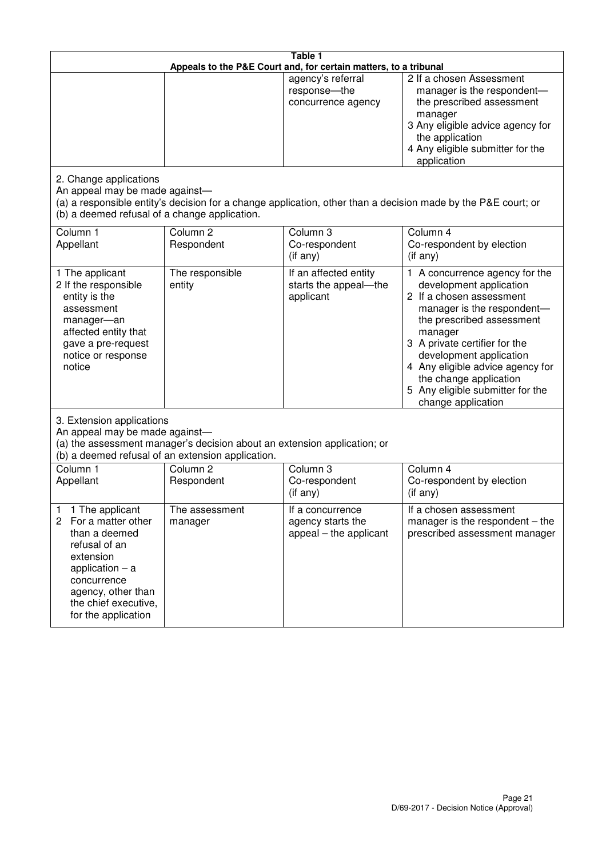|                                                                                                                                                                                                                             |                                                                                                                               | Table 1<br>Appeals to the P&E Court and, for certain matters, to a tribunal |                                                                                                                                                                                                                                                                                                                                                 |
|-----------------------------------------------------------------------------------------------------------------------------------------------------------------------------------------------------------------------------|-------------------------------------------------------------------------------------------------------------------------------|-----------------------------------------------------------------------------|-------------------------------------------------------------------------------------------------------------------------------------------------------------------------------------------------------------------------------------------------------------------------------------------------------------------------------------------------|
|                                                                                                                                                                                                                             |                                                                                                                               | agency's referral<br>response-the<br>concurrence agency                     | 2 If a chosen Assessment<br>manager is the respondent-<br>the prescribed assessment<br>manager<br>3 Any eligible advice agency for<br>the application<br>4 Any eligible submitter for the<br>application                                                                                                                                        |
| 2. Change applications<br>An appeal may be made against-<br>(b) a deemed refusal of a change application.                                                                                                                   |                                                                                                                               |                                                                             | (a) a responsible entity's decision for a change application, other than a decision made by the P&E court; or                                                                                                                                                                                                                                   |
| Column 1<br>Appellant                                                                                                                                                                                                       | Column <sub>2</sub><br>Respondent                                                                                             | Column 3<br>Co-respondent<br>(if any)                                       | Column 4<br>Co-respondent by election<br>(if any)                                                                                                                                                                                                                                                                                               |
| 1 The applicant<br>2 If the responsible<br>entity is the<br>assessment<br>manager-an<br>affected entity that<br>gave a pre-request<br>notice or response<br>notice                                                          | The responsible<br>entity                                                                                                     | If an affected entity<br>starts the appeal-the<br>applicant                 | 1 A concurrence agency for the<br>development application<br>2 If a chosen assessment<br>manager is the respondent-<br>the prescribed assessment<br>manager<br>3 A private certifier for the<br>development application<br>4 Any eligible advice agency for<br>the change application<br>5 Any eligible submitter for the<br>change application |
| 3. Extension applications<br>An appeal may be made against-                                                                                                                                                                 | (a) the assessment manager's decision about an extension application; or<br>(b) a deemed refusal of an extension application. |                                                                             |                                                                                                                                                                                                                                                                                                                                                 |
| Column 1<br>Appellant                                                                                                                                                                                                       | Column <sub>2</sub><br>Respondent                                                                                             | Column 3<br>Co-respondent<br>(if any)                                       | Column 4<br>Co-respondent by election<br>(if any)                                                                                                                                                                                                                                                                                               |
| 1 The applicant<br>1<br>$\mathbf{2}^{\prime}$<br>For a matter other<br>than a deemed<br>refusal of an<br>extension<br>application $-$ a<br>concurrence<br>agency, other than<br>the chief executive,<br>for the application | The assessment<br>manager                                                                                                     | If a concurrence<br>agency starts the<br>appeal – the applicant             | If a chosen assessment<br>manager is the respondent $-$ the<br>prescribed assessment manager                                                                                                                                                                                                                                                    |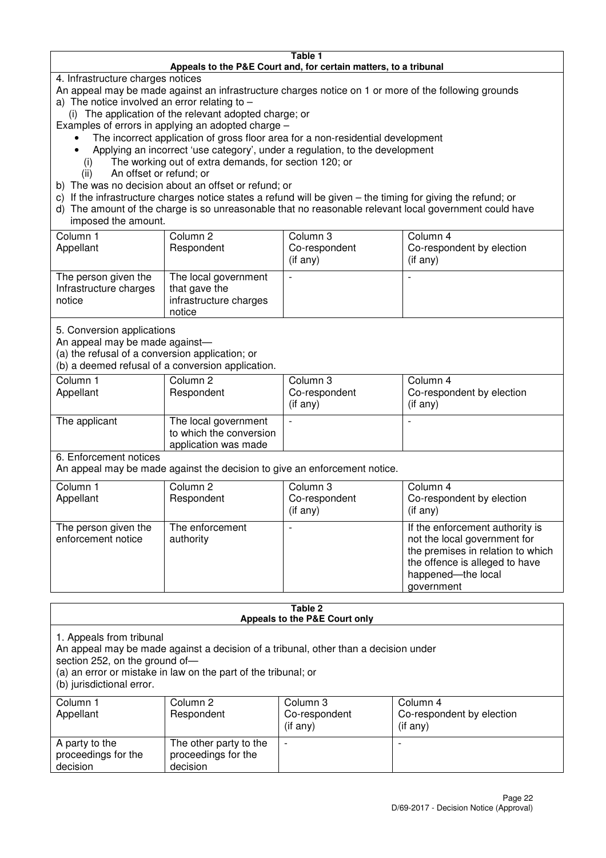#### **Table 1 Appeals to the P&E Court and, for certain matters, to a tribunal**

4. Infrastructure charges notices

- An appeal may be made against an infrastructure charges notice on 1 or more of the following grounds
- a) The notice involved an error relating to
	- (i) The application of the relevant adopted charge; or
- Examples of errors in applying an adopted charge
	- The incorrect application of gross floor area for a non-residential development
	- Applying an incorrect 'use category', under a regulation, to the development
	- (i) The working out of extra demands, for section 120; or
	- (ii) An offset or refund; or
- b) The was no decision about an offset or refund; or
- c) If the infrastructure charges notice states a refund will be given the timing for giving the refund; or
- d) The amount of the charge is so unreasonable that no reasonable relevant local government could have

# imposed the amount.

| Column 1<br>Appellant                                    | Column 2<br>Respondent                                                    | Column 3<br>Co-respondent<br>(if any) | Column 4<br>Co-respondent by election<br>$($ if any $)$ |
|----------------------------------------------------------|---------------------------------------------------------------------------|---------------------------------------|---------------------------------------------------------|
| The person given the<br>Infrastructure charges<br>notice | The local government<br>that gave the<br>infrastructure charges<br>notice |                                       |                                                         |

5. Conversion applications

An appeal may be made against—

(a) the refusal of a conversion application; or

(b) a deemed refusal of a conversion application.

| Column 1<br>Appellant | Column 2<br>Respondent                                                  | Column 3<br>Co-respondent<br>$($ if any $)$ | Column 4<br>Co-respondent by election<br>$($ if any $)$ |
|-----------------------|-------------------------------------------------------------------------|---------------------------------------------|---------------------------------------------------------|
| The applicant         | The local government<br>to which the conversion<br>application was made |                                             |                                                         |

6. Enforcement notices

An appeal may be made against the decision to give an enforcement notice.

| Column 1<br>Appellant                      | Column 2<br>Respondent       | Column 3<br>Co-respondent<br>$($ if any $)$ | Column 4<br>Co-respondent by election<br>$($ if any $)$                                                                                                                    |
|--------------------------------------------|------------------------------|---------------------------------------------|----------------------------------------------------------------------------------------------------------------------------------------------------------------------------|
| The person given the<br>enforcement notice | The enforcement<br>authority |                                             | If the enforcement authority is<br>not the local government for<br>the premises in relation to which<br>the offence is alleged to have<br>happened-the local<br>government |

#### **Table 2 Appeals to the P&E Court only**

1. Appeals from tribunal

An appeal may be made against a decision of a tribunal, other than a decision under

section 252, on the ground of-

(a) an error or mistake in law on the part of the tribunal; or

(b) jurisdictional error.

| Column 1<br>Appellant                             | Column 2<br>Respondent                                    | Column 3<br>Co-respondent<br>$($ if any $)$ | Column 4<br>Co-respondent by election<br>(i f any) |
|---------------------------------------------------|-----------------------------------------------------------|---------------------------------------------|----------------------------------------------------|
| A party to the<br>proceedings for the<br>decision | The other party to the<br>proceedings for the<br>decision | $\overline{\phantom{0}}$                    |                                                    |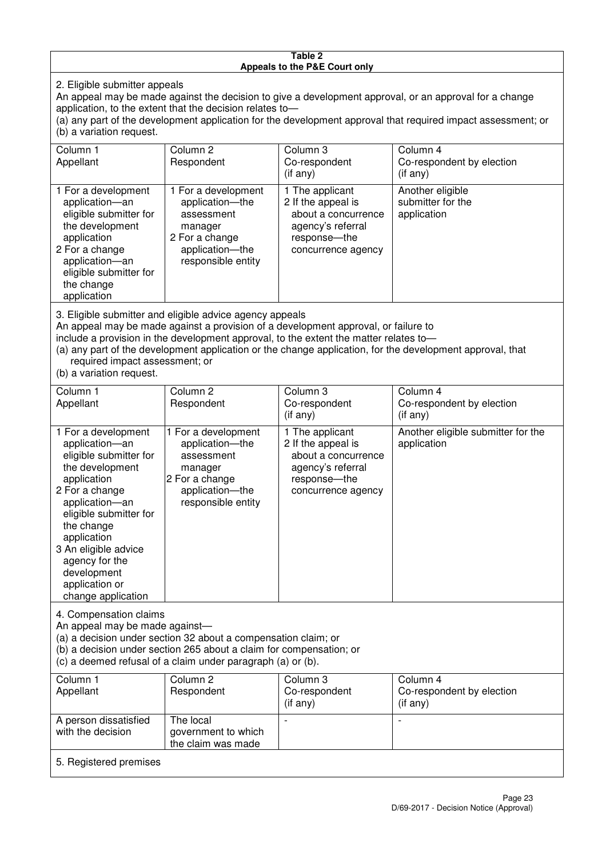#### **Table 2 Appeals to the P&E Court only**

2. Eligible submitter appeals

An appeal may be made against the decision to give a development approval, or an approval for a change application, to the extent that the decision relates to—

(a) any part of the development application for the development approval that required impact assessment; or (b) a variation request.

| Column 1<br>Appellant                                                                                                                                                                                                                                                                                                                                                                  | Column 2<br>Respondent                                                                                                     | Column 3<br>Co-respondent<br>$($ if any $)$                                                                             | Column 4<br>Co-respondent by election<br>(if any)    |  |  |
|----------------------------------------------------------------------------------------------------------------------------------------------------------------------------------------------------------------------------------------------------------------------------------------------------------------------------------------------------------------------------------------|----------------------------------------------------------------------------------------------------------------------------|-------------------------------------------------------------------------------------------------------------------------|------------------------------------------------------|--|--|
| 1 For a development<br>application-an<br>eligible submitter for<br>the development<br>application<br>2 For a change<br>application-an<br>eligible submitter for<br>the change<br>application                                                                                                                                                                                           | 1 For a development<br>application-the<br>assessment<br>manager<br>2 For a change<br>application-the<br>responsible entity | 1 The applicant<br>2 If the appeal is<br>about a concurrence<br>agency's referral<br>response-the<br>concurrence agency | Another eligible<br>submitter for the<br>application |  |  |
| 3. Eligible submitter and eligible advice agency appeals<br>An appeal may be made against a provision of a development approval, or failure to<br>include a provision in the development approval, to the extent the matter relates to-<br>(a) any part of the development application or the change application, for the development approval, that<br>required impact assessment; or |                                                                                                                            |                                                                                                                         |                                                      |  |  |

(b) a variation request.

| Column 1<br>Appellant                                                                                                                                                                                                                                                                         | Column <sub>2</sub><br>Respondent                                                                                          | Column 3<br>Co-respondent<br>$(i f \text{ any})$                                                                        | Column 4<br>Co-respondent by election<br>(if any) |  |  |
|-----------------------------------------------------------------------------------------------------------------------------------------------------------------------------------------------------------------------------------------------------------------------------------------------|----------------------------------------------------------------------------------------------------------------------------|-------------------------------------------------------------------------------------------------------------------------|---------------------------------------------------|--|--|
| 1 For a development<br>application-an<br>eligible submitter for<br>the development<br>application<br>2 For a change<br>application-an<br>eligible submitter for<br>the change<br>application<br>3 An eligible advice<br>agency for the<br>development<br>application or<br>change application | 1 For a development<br>application-the<br>assessment<br>manager<br>2 For a change<br>application-the<br>responsible entity | 1 The applicant<br>2 If the appeal is<br>about a concurrence<br>agency's referral<br>response-the<br>concurrence agency | Another eligible submitter for the<br>application |  |  |
| 4. Compensation claims<br>An appeal may be made against-<br>(a) a decision under section 32 about a compensation claim; or<br>(b) a decision under section 265 about a claim for compensation; or<br>(c) a deemed refusal of a claim under paragraph (a) or (b).                              |                                                                                                                            |                                                                                                                         |                                                   |  |  |
| Column <sub>1</sub>                                                                                                                                                                                                                                                                           | Column <sub>2</sub>                                                                                                        | Column 3                                                                                                                | Column 4                                          |  |  |
| Appellant                                                                                                                                                                                                                                                                                     | Respondent                                                                                                                 | Co-respondent<br>(if any)                                                                                               | Co-respondent by election<br>(if any)             |  |  |
| A person dissatisfied                                                                                                                                                                                                                                                                         | The local                                                                                                                  |                                                                                                                         |                                                   |  |  |

# 5. Registered premises

government to which the claim was made

with the decision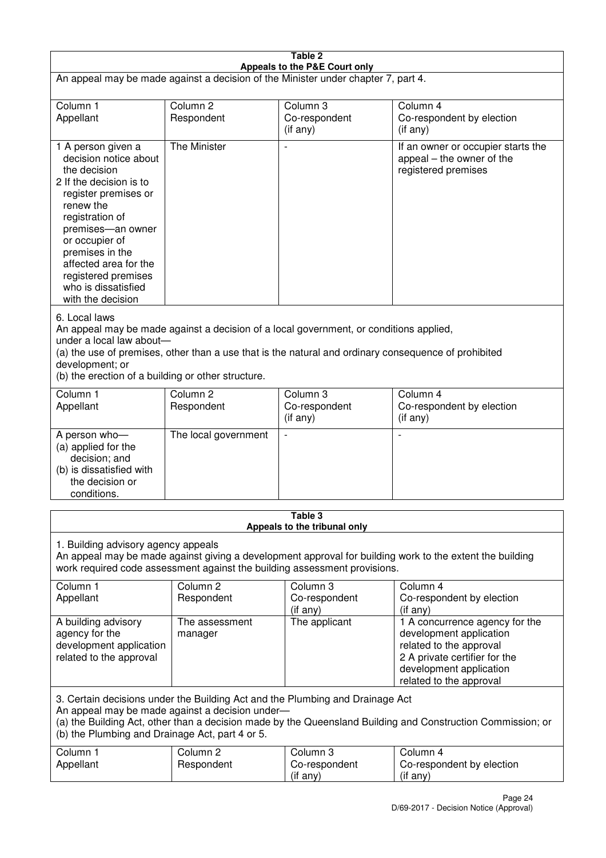| Table 2<br>Appeals to the P&E Court only                                                                                                                                                                                                                                                                             |                                   |                                       |                                                                                                                                                                             |  |  |
|----------------------------------------------------------------------------------------------------------------------------------------------------------------------------------------------------------------------------------------------------------------------------------------------------------------------|-----------------------------------|---------------------------------------|-----------------------------------------------------------------------------------------------------------------------------------------------------------------------------|--|--|
| An appeal may be made against a decision of the Minister under chapter 7, part 4.                                                                                                                                                                                                                                    |                                   |                                       |                                                                                                                                                                             |  |  |
| Column 1<br>Appellant                                                                                                                                                                                                                                                                                                | Column <sub>2</sub><br>Respondent | Column 3<br>Co-respondent<br>(if any) | Column 4<br>Co-respondent by election<br>$($ if any $)$                                                                                                                     |  |  |
| 1 A person given a<br>decision notice about<br>the decision<br>2 If the decision is to<br>register premises or<br>renew the<br>registration of<br>premises-an owner<br>or occupier of<br>premises in the<br>affected area for the<br>registered premises<br>who is dissatisfied<br>with the decision                 | The Minister                      |                                       | If an owner or occupier starts the<br>appeal – the owner of the<br>registered premises                                                                                      |  |  |
| 6. Local laws<br>An appeal may be made against a decision of a local government, or conditions applied,<br>under a local law about-<br>(a) the use of premises, other than a use that is the natural and ordinary consequence of prohibited<br>development; or<br>(b) the erection of a building or other structure. |                                   |                                       |                                                                                                                                                                             |  |  |
| Column 1<br>Appellant                                                                                                                                                                                                                                                                                                | Column <sub>2</sub><br>Respondent | Column 3<br>Co-respondent<br>(if any) | Column 4<br>Co-respondent by election<br>(if any)                                                                                                                           |  |  |
| A person who-<br>(a) applied for the<br>decision; and<br>(b) is dissatisfied with<br>the decision or<br>conditions.                                                                                                                                                                                                  | The local government              | $\overline{\phantom{a}}$              |                                                                                                                                                                             |  |  |
| Table 3<br>Appeals to the tribunal only                                                                                                                                                                                                                                                                              |                                   |                                       |                                                                                                                                                                             |  |  |
| 1. Building advisory agency appeals<br>An appeal may be made against giving a development approval for building work to the extent the building<br>work required code assessment against the building assessment provisions.                                                                                         |                                   |                                       |                                                                                                                                                                             |  |  |
| Column 1<br>Appellant                                                                                                                                                                                                                                                                                                | Column <sub>2</sub><br>Respondent | Column 3<br>Co-respondent<br>(if any) | Column 4<br>Co-respondent by election<br>(if any)                                                                                                                           |  |  |
| A building advisory<br>agency for the<br>development application<br>related to the approval                                                                                                                                                                                                                          | The assessment<br>manager         | The applicant                         | 1 A concurrence agency for the<br>development application<br>related to the approval<br>2 A private certifier for the<br>development application<br>related to the approval |  |  |
| 3. Certain decisions under the Building Act and the Plumbing and Drainage Act<br>An appeal may be made against a decision under-<br>(a) the Building Act, other than a decision made by the Queensland Building and Construction Commission; or<br>(b) the Plumbing and Drainage Act, part 4 or 5.                   |                                   |                                       |                                                                                                                                                                             |  |  |
| Column 1<br>Appellant                                                                                                                                                                                                                                                                                                | Column <sub>2</sub><br>Respondent | Column 3<br>Co-respondent<br>(if any) | Column 4<br>Co-respondent by election<br>(if any)                                                                                                                           |  |  |